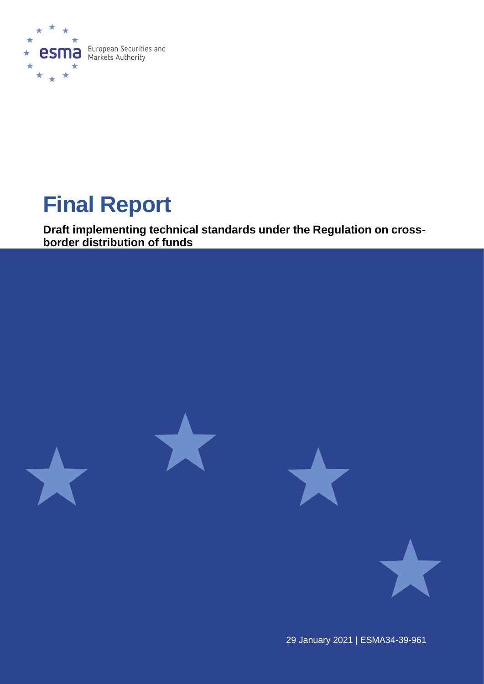

# **Final Report**

**Draft implementing technical standards under the Regulation on crossborder distribution of funds**





29 January 2021 | ESMA34-39-961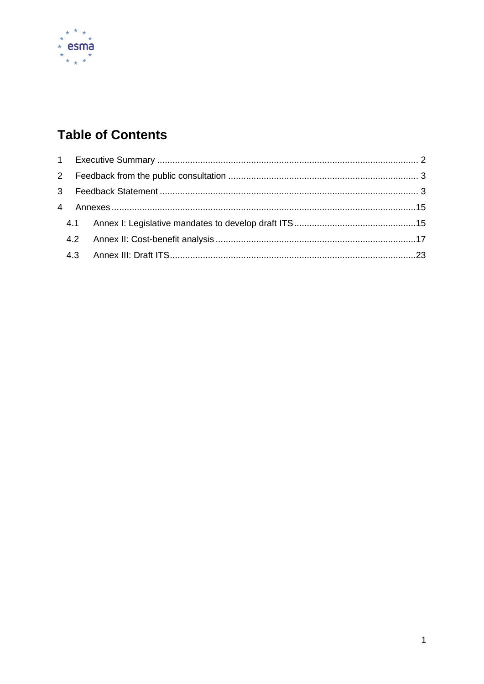

# **Table of Contents**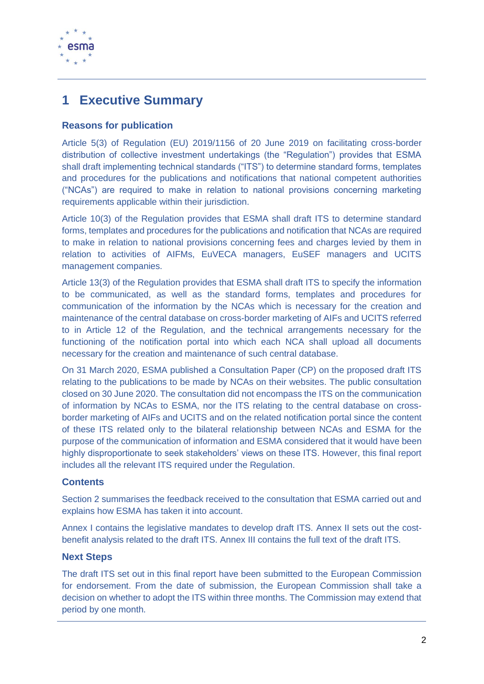

## <span id="page-2-0"></span>**1 Executive Summary**

#### **Reasons for publication**

Article 5(3) of Regulation (EU) 2019/1156 of 20 June 2019 on facilitating cross-border distribution of collective investment undertakings (the "Regulation") provides that ESMA shall draft implementing technical standards ("ITS") to determine standard forms, templates and procedures for the publications and notifications that national competent authorities ("NCAs") are required to make in relation to national provisions concerning marketing requirements applicable within their jurisdiction.

Article 10(3) of the Regulation provides that ESMA shall draft ITS to determine standard forms, templates and procedures for the publications and notification that NCAs are required to make in relation to national provisions concerning fees and charges levied by them in relation to activities of AIFMs, EuVECA managers, EuSEF managers and UCITS management companies.

Article 13(3) of the Regulation provides that ESMA shall draft ITS to specify the information to be communicated, as well as the standard forms, templates and procedures for communication of the information by the NCAs which is necessary for the creation and maintenance of the central database on cross-border marketing of AIFs and UCITS referred to in Article 12 of the Regulation, and the technical arrangements necessary for the functioning of the notification portal into which each NCA shall upload all documents necessary for the creation and maintenance of such central database.

On 31 March 2020, ESMA published a Consultation Paper (CP) on the proposed draft ITS relating to the publications to be made by NCAs on their websites. The public consultation closed on 30 June 2020. The consultation did not encompass the ITS on the communication of information by NCAs to ESMA, nor the ITS relating to the central database on crossborder marketing of AIFs and UCITS and on the related notification portal since the content of these ITS related only to the bilateral relationship between NCAs and ESMA for the purpose of the communication of information and ESMA considered that it would have been highly disproportionate to seek stakeholders' views on these ITS. However, this final report includes all the relevant ITS required under the Regulation.

#### **Contents**

Section 2 summarises the feedback received to the consultation that ESMA carried out and explains how ESMA has taken it into account.

Annex I contains the legislative mandates to develop draft ITS. Annex II sets out the costbenefit analysis related to the draft ITS. Annex III contains the full text of the draft ITS.

#### **Next Steps**

The draft ITS set out in this final report have been submitted to the European Commission for endorsement. From the date of submission, the European Commission shall take a decision on whether to adopt the ITS within three months. The Commission may extend that period by one month.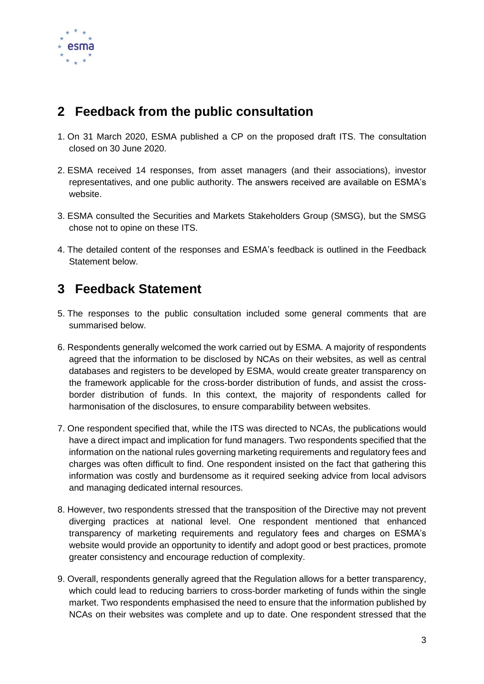

# <span id="page-3-0"></span>**2 Feedback from the public consultation**

- 1. On 31 March 2020, ESMA published a CP on the proposed draft ITS. The consultation closed on 30 June 2020.
- 2. ESMA received 14 responses, from asset managers (and their associations), investor representatives, and one public authority. The answers received are available on ESMA's website.
- 3. ESMA consulted the Securities and Markets Stakeholders Group (SMSG), but the SMSG chose not to opine on these ITS.
- 4. The detailed content of the responses and ESMA's feedback is outlined in the Feedback Statement below.

## <span id="page-3-1"></span>**3 Feedback Statement**

- 5. The responses to the public consultation included some general comments that are summarised below.
- 6. Respondents generally welcomed the work carried out by ESMA. A majority of respondents agreed that the information to be disclosed by NCAs on their websites, as well as central databases and registers to be developed by ESMA, would create greater transparency on the framework applicable for the cross-border distribution of funds, and assist the crossborder distribution of funds. In this context, the majority of respondents called for harmonisation of the disclosures, to ensure comparability between websites.
- 7. One respondent specified that, while the ITS was directed to NCAs, the publications would have a direct impact and implication for fund managers. Two respondents specified that the information on the national rules governing marketing requirements and regulatory fees and charges was often difficult to find. One respondent insisted on the fact that gathering this information was costly and burdensome as it required seeking advice from local advisors and managing dedicated internal resources.
- 8. However, two respondents stressed that the transposition of the Directive may not prevent diverging practices at national level. One respondent mentioned that enhanced transparency of marketing requirements and regulatory fees and charges on ESMA's website would provide an opportunity to identify and adopt good or best practices, promote greater consistency and encourage reduction of complexity.
- 9. Overall, respondents generally agreed that the Regulation allows for a better transparency, which could lead to reducing barriers to cross-border marketing of funds within the single market. Two respondents emphasised the need to ensure that the information published by NCAs on their websites was complete and up to date. One respondent stressed that the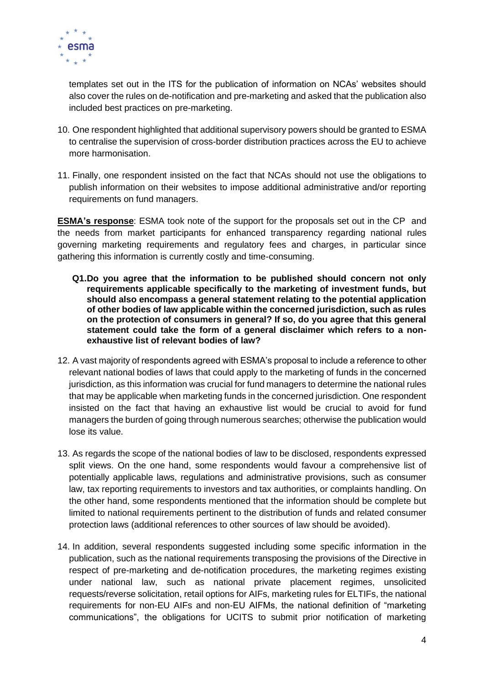

templates set out in the ITS for the publication of information on NCAs' websites should also cover the rules on de-notification and pre-marketing and asked that the publication also included best practices on pre-marketing.

- 10. One respondent highlighted that additional supervisory powers should be granted to ESMA to centralise the supervision of cross-border distribution practices across the EU to achieve more harmonisation.
- 11. Finally, one respondent insisted on the fact that NCAs should not use the obligations to publish information on their websites to impose additional administrative and/or reporting requirements on fund managers.

**ESMA's response**: ESMA took note of the support for the proposals set out in the CP and the needs from market participants for enhanced transparency regarding national rules governing marketing requirements and regulatory fees and charges, in particular since gathering this information is currently costly and time-consuming.

- **Q1.Do you agree that the information to be published should concern not only requirements applicable specifically to the marketing of investment funds, but should also encompass a general statement relating to the potential application of other bodies of law applicable within the concerned jurisdiction, such as rules on the protection of consumers in general? If so, do you agree that this general statement could take the form of a general disclaimer which refers to a nonexhaustive list of relevant bodies of law?**
- 12. A vast majority of respondents agreed with ESMA's proposal to include a reference to other relevant national bodies of laws that could apply to the marketing of funds in the concerned jurisdiction, as this information was crucial for fund managers to determine the national rules that may be applicable when marketing funds in the concerned jurisdiction. One respondent insisted on the fact that having an exhaustive list would be crucial to avoid for fund managers the burden of going through numerous searches; otherwise the publication would lose its value.
- 13. As regards the scope of the national bodies of law to be disclosed, respondents expressed split views. On the one hand, some respondents would favour a comprehensive list of potentially applicable laws, regulations and administrative provisions, such as consumer law, tax reporting requirements to investors and tax authorities, or complaints handling. On the other hand, some respondents mentioned that the information should be complete but limited to national requirements pertinent to the distribution of funds and related consumer protection laws (additional references to other sources of law should be avoided).
- 14. In addition, several respondents suggested including some specific information in the publication, such as the national requirements transposing the provisions of the Directive in respect of pre-marketing and de-notification procedures, the marketing regimes existing under national law, such as national private placement regimes, unsolicited requests/reverse solicitation, retail options for AIFs, marketing rules for ELTIFs, the national requirements for non-EU AIFs and non-EU AIFMs, the national definition of "marketing communications", the obligations for UCITS to submit prior notification of marketing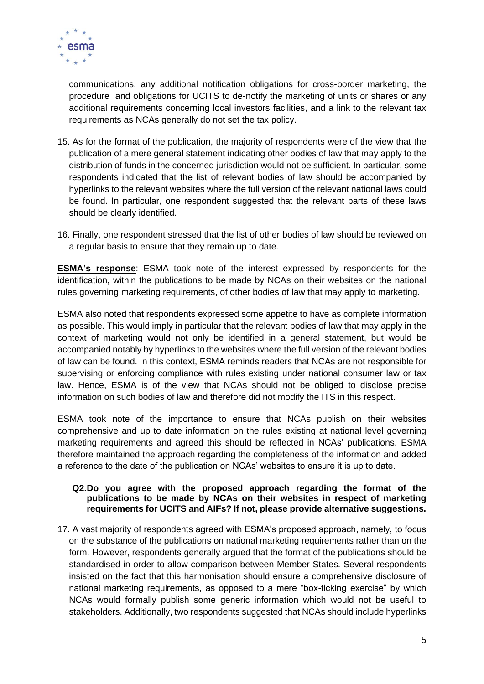

communications, any additional notification obligations for cross-border marketing, the procedure and obligations for UCITS to de-notify the marketing of units or shares or any additional requirements concerning local investors facilities, and a link to the relevant tax requirements as NCAs generally do not set the tax policy.

- 15. As for the format of the publication, the majority of respondents were of the view that the publication of a mere general statement indicating other bodies of law that may apply to the distribution of funds in the concerned jurisdiction would not be sufficient. In particular, some respondents indicated that the list of relevant bodies of law should be accompanied by hyperlinks to the relevant websites where the full version of the relevant national laws could be found. In particular, one respondent suggested that the relevant parts of these laws should be clearly identified.
- 16. Finally, one respondent stressed that the list of other bodies of law should be reviewed on a regular basis to ensure that they remain up to date.

**ESMA's response**: ESMA took note of the interest expressed by respondents for the identification, within the publications to be made by NCAs on their websites on the national rules governing marketing requirements, of other bodies of law that may apply to marketing.

ESMA also noted that respondents expressed some appetite to have as complete information as possible. This would imply in particular that the relevant bodies of law that may apply in the context of marketing would not only be identified in a general statement, but would be accompanied notably by hyperlinks to the websites where the full version of the relevant bodies of law can be found. In this context, ESMA reminds readers that NCAs are not responsible for supervising or enforcing compliance with rules existing under national consumer law or tax law. Hence, ESMA is of the view that NCAs should not be obliged to disclose precise information on such bodies of law and therefore did not modify the ITS in this respect.

ESMA took note of the importance to ensure that NCAs publish on their websites comprehensive and up to date information on the rules existing at national level governing marketing requirements and agreed this should be reflected in NCAs' publications. ESMA therefore maintained the approach regarding the completeness of the information and added a reference to the date of the publication on NCAs' websites to ensure it is up to date.

#### **Q2.Do you agree with the proposed approach regarding the format of the publications to be made by NCAs on their websites in respect of marketing requirements for UCITS and AIFs? If not, please provide alternative suggestions.**

17. A vast majority of respondents agreed with ESMA's proposed approach, namely, to focus on the substance of the publications on national marketing requirements rather than on the form. However, respondents generally argued that the format of the publications should be standardised in order to allow comparison between Member States. Several respondents insisted on the fact that this harmonisation should ensure a comprehensive disclosure of national marketing requirements, as opposed to a mere "box-ticking exercise" by which NCAs would formally publish some generic information which would not be useful to stakeholders. Additionally, two respondents suggested that NCAs should include hyperlinks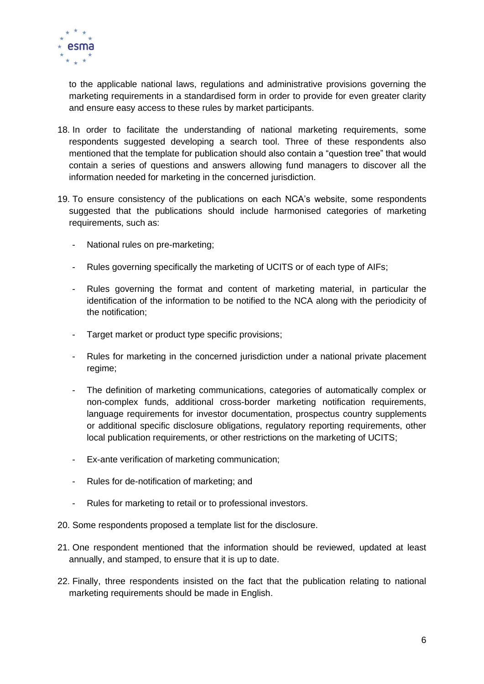

to the applicable national laws, regulations and administrative provisions governing the marketing requirements in a standardised form in order to provide for even greater clarity and ensure easy access to these rules by market participants.

- 18. In order to facilitate the understanding of national marketing requirements, some respondents suggested developing a search tool. Three of these respondents also mentioned that the template for publication should also contain a "question tree" that would contain a series of questions and answers allowing fund managers to discover all the information needed for marketing in the concerned jurisdiction.
- 19. To ensure consistency of the publications on each NCA's website, some respondents suggested that the publications should include harmonised categories of marketing requirements, such as:
	- National rules on pre-marketing;
	- Rules governing specifically the marketing of UCITS or of each type of AIFs;
	- Rules governing the format and content of marketing material, in particular the identification of the information to be notified to the NCA along with the periodicity of the notification;
	- Target market or product type specific provisions;
	- Rules for marketing in the concerned jurisdiction under a national private placement regime;
	- The definition of marketing communications, categories of automatically complex or non-complex funds, additional cross-border marketing notification requirements, language requirements for investor documentation, prospectus country supplements or additional specific disclosure obligations, regulatory reporting requirements, other local publication requirements, or other restrictions on the marketing of UCITS;
	- Ex-ante verification of marketing communication;
	- Rules for de-notification of marketing; and
	- Rules for marketing to retail or to professional investors.
- 20. Some respondents proposed a template list for the disclosure.
- 21. One respondent mentioned that the information should be reviewed, updated at least annually, and stamped, to ensure that it is up to date.
- 22. Finally, three respondents insisted on the fact that the publication relating to national marketing requirements should be made in English.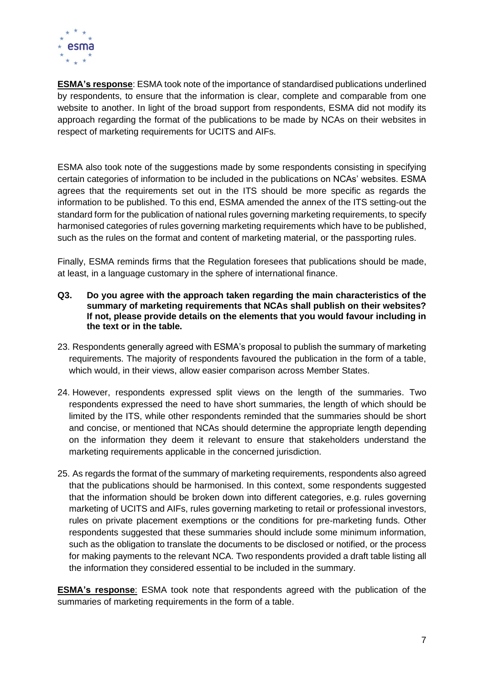

**ESMA's response**: ESMA took note of the importance of standardised publications underlined by respondents, to ensure that the information is clear, complete and comparable from one website to another. In light of the broad support from respondents, ESMA did not modify its approach regarding the format of the publications to be made by NCAs on their websites in respect of marketing requirements for UCITS and AIFs.

ESMA also took note of the suggestions made by some respondents consisting in specifying certain categories of information to be included in the publications on NCAs' websites. ESMA agrees that the requirements set out in the ITS should be more specific as regards the information to be published. To this end, ESMA amended the annex of the ITS setting-out the standard form for the publication of national rules governing marketing requirements, to specify harmonised categories of rules governing marketing requirements which have to be published, such as the rules on the format and content of marketing material, or the passporting rules.

Finally, ESMA reminds firms that the Regulation foresees that publications should be made, at least, in a language customary in the sphere of international finance.

- **Q3. Do you agree with the approach taken regarding the main characteristics of the summary of marketing requirements that NCAs shall publish on their websites? If not, please provide details on the elements that you would favour including in the text or in the table.**
- 23. Respondents generally agreed with ESMA's proposal to publish the summary of marketing requirements. The majority of respondents favoured the publication in the form of a table, which would, in their views, allow easier comparison across Member States.
- 24. However, respondents expressed split views on the length of the summaries. Two respondents expressed the need to have short summaries, the length of which should be limited by the ITS, while other respondents reminded that the summaries should be short and concise, or mentioned that NCAs should determine the appropriate length depending on the information they deem it relevant to ensure that stakeholders understand the marketing requirements applicable in the concerned jurisdiction.
- 25. As regards the format of the summary of marketing requirements, respondents also agreed that the publications should be harmonised. In this context, some respondents suggested that the information should be broken down into different categories, e.g. rules governing marketing of UCITS and AIFs, rules governing marketing to retail or professional investors, rules on private placement exemptions or the conditions for pre-marketing funds. Other respondents suggested that these summaries should include some minimum information, such as the obligation to translate the documents to be disclosed or notified, or the process for making payments to the relevant NCA. Two respondents provided a draft table listing all the information they considered essential to be included in the summary.

**ESMA's response**: ESMA took note that respondents agreed with the publication of the summaries of marketing requirements in the form of a table.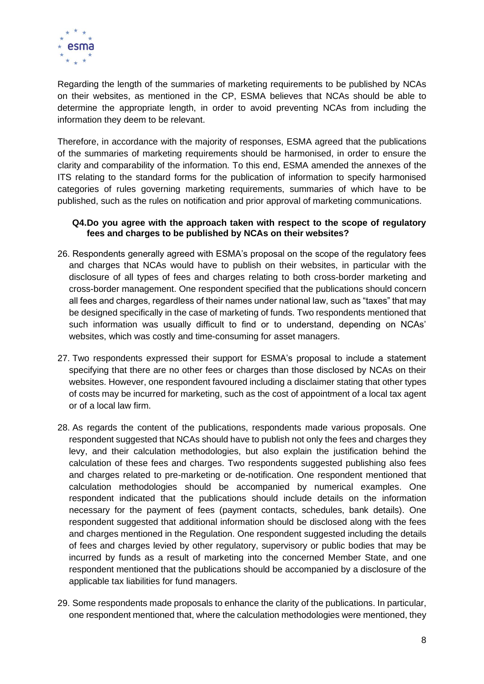

Regarding the length of the summaries of marketing requirements to be published by NCAs on their websites, as mentioned in the CP, ESMA believes that NCAs should be able to determine the appropriate length, in order to avoid preventing NCAs from including the information they deem to be relevant.

Therefore, in accordance with the majority of responses, ESMA agreed that the publications of the summaries of marketing requirements should be harmonised, in order to ensure the clarity and comparability of the information. To this end, ESMA amended the annexes of the ITS relating to the standard forms for the publication of information to specify harmonised categories of rules governing marketing requirements, summaries of which have to be published, such as the rules on notification and prior approval of marketing communications.

#### **Q4.Do you agree with the approach taken with respect to the scope of regulatory fees and charges to be published by NCAs on their websites?**

- 26. Respondents generally agreed with ESMA's proposal on the scope of the regulatory fees and charges that NCAs would have to publish on their websites, in particular with the disclosure of all types of fees and charges relating to both cross-border marketing and cross-border management. One respondent specified that the publications should concern all fees and charges, regardless of their names under national law, such as "taxes" that may be designed specifically in the case of marketing of funds. Two respondents mentioned that such information was usually difficult to find or to understand, depending on NCAs' websites, which was costly and time-consuming for asset managers.
- 27. Two respondents expressed their support for ESMA's proposal to include a statement specifying that there are no other fees or charges than those disclosed by NCAs on their websites. However, one respondent favoured including a disclaimer stating that other types of costs may be incurred for marketing, such as the cost of appointment of a local tax agent or of a local law firm.
- 28. As regards the content of the publications, respondents made various proposals. One respondent suggested that NCAs should have to publish not only the fees and charges they levy, and their calculation methodologies, but also explain the justification behind the calculation of these fees and charges. Two respondents suggested publishing also fees and charges related to pre-marketing or de-notification. One respondent mentioned that calculation methodologies should be accompanied by numerical examples. One respondent indicated that the publications should include details on the information necessary for the payment of fees (payment contacts, schedules, bank details). One respondent suggested that additional information should be disclosed along with the fees and charges mentioned in the Regulation. One respondent suggested including the details of fees and charges levied by other regulatory, supervisory or public bodies that may be incurred by funds as a result of marketing into the concerned Member State, and one respondent mentioned that the publications should be accompanied by a disclosure of the applicable tax liabilities for fund managers.
- 29. Some respondents made proposals to enhance the clarity of the publications. In particular, one respondent mentioned that, where the calculation methodologies were mentioned, they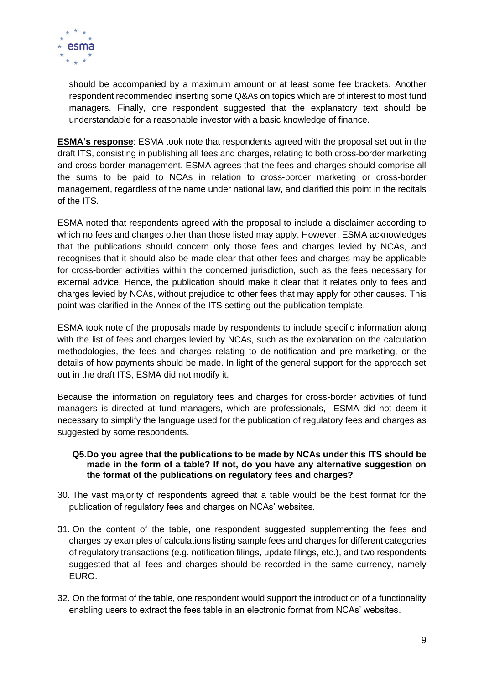

should be accompanied by a maximum amount or at least some fee brackets. Another respondent recommended inserting some Q&As on topics which are of interest to most fund managers. Finally, one respondent suggested that the explanatory text should be understandable for a reasonable investor with a basic knowledge of finance.

**ESMA's response**: ESMA took note that respondents agreed with the proposal set out in the draft ITS, consisting in publishing all fees and charges, relating to both cross-border marketing and cross-border management. ESMA agrees that the fees and charges should comprise all the sums to be paid to NCAs in relation to cross-border marketing or cross-border management, regardless of the name under national law, and clarified this point in the recitals of the ITS.

ESMA noted that respondents agreed with the proposal to include a disclaimer according to which no fees and charges other than those listed may apply. However, ESMA acknowledges that the publications should concern only those fees and charges levied by NCAs, and recognises that it should also be made clear that other fees and charges may be applicable for cross-border activities within the concerned jurisdiction, such as the fees necessary for external advice. Hence, the publication should make it clear that it relates only to fees and charges levied by NCAs, without prejudice to other fees that may apply for other causes. This point was clarified in the Annex of the ITS setting out the publication template.

ESMA took note of the proposals made by respondents to include specific information along with the list of fees and charges levied by NCAs, such as the explanation on the calculation methodologies, the fees and charges relating to de-notification and pre-marketing, or the details of how payments should be made. In light of the general support for the approach set out in the draft ITS, ESMA did not modify it.

Because the information on regulatory fees and charges for cross-border activities of fund managers is directed at fund managers, which are professionals, ESMA did not deem it necessary to simplify the language used for the publication of regulatory fees and charges as suggested by some respondents.

#### **Q5.Do you agree that the publications to be made by NCAs under this ITS should be made in the form of a table? If not, do you have any alternative suggestion on the format of the publications on regulatory fees and charges?**

- 30. The vast majority of respondents agreed that a table would be the best format for the publication of regulatory fees and charges on NCAs' websites.
- 31. On the content of the table, one respondent suggested supplementing the fees and charges by examples of calculations listing sample fees and charges for different categories of regulatory transactions (e.g. notification filings, update filings, etc.), and two respondents suggested that all fees and charges should be recorded in the same currency, namely EURO.
- 32. On the format of the table, one respondent would support the introduction of a functionality enabling users to extract the fees table in an electronic format from NCAs' websites.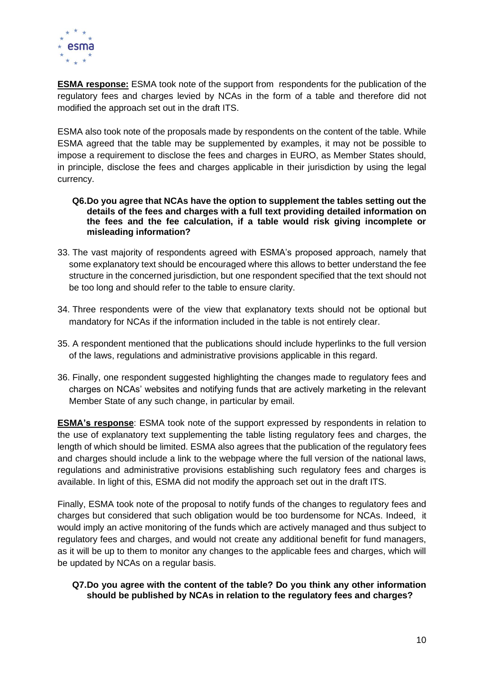

**ESMA response:** ESMA took note of the support from respondents for the publication of the regulatory fees and charges levied by NCAs in the form of a table and therefore did not modified the approach set out in the draft ITS.

ESMA also took note of the proposals made by respondents on the content of the table. While ESMA agreed that the table may be supplemented by examples, it may not be possible to impose a requirement to disclose the fees and charges in EURO, as Member States should, in principle, disclose the fees and charges applicable in their jurisdiction by using the legal currency.

- **Q6.Do you agree that NCAs have the option to supplement the tables setting out the details of the fees and charges with a full text providing detailed information on the fees and the fee calculation, if a table would risk giving incomplete or misleading information?**
- 33. The vast majority of respondents agreed with ESMA's proposed approach, namely that some explanatory text should be encouraged where this allows to better understand the fee structure in the concerned jurisdiction, but one respondent specified that the text should not be too long and should refer to the table to ensure clarity.
- 34. Three respondents were of the view that explanatory texts should not be optional but mandatory for NCAs if the information included in the table is not entirely clear.
- 35. A respondent mentioned that the publications should include hyperlinks to the full version of the laws, regulations and administrative provisions applicable in this regard.
- 36. Finally, one respondent suggested highlighting the changes made to regulatory fees and charges on NCAs' websites and notifying funds that are actively marketing in the relevant Member State of any such change, in particular by email.

**ESMA's response**: ESMA took note of the support expressed by respondents in relation to the use of explanatory text supplementing the table listing regulatory fees and charges, the length of which should be limited. ESMA also agrees that the publication of the regulatory fees and charges should include a link to the webpage where the full version of the national laws, regulations and administrative provisions establishing such regulatory fees and charges is available. In light of this, ESMA did not modify the approach set out in the draft ITS.

Finally, ESMA took note of the proposal to notify funds of the changes to regulatory fees and charges but considered that such obligation would be too burdensome for NCAs. Indeed, it would imply an active monitoring of the funds which are actively managed and thus subject to regulatory fees and charges, and would not create any additional benefit for fund managers, as it will be up to them to monitor any changes to the applicable fees and charges, which will be updated by NCAs on a regular basis.

#### **Q7.Do you agree with the content of the table? Do you think any other information should be published by NCAs in relation to the regulatory fees and charges?**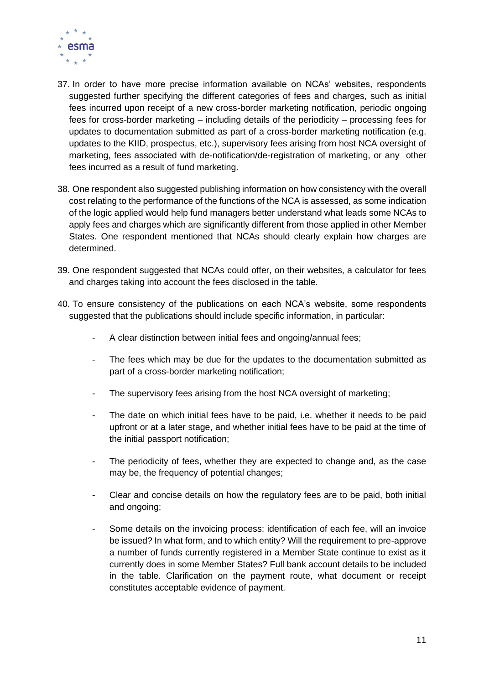

- 37. In order to have more precise information available on NCAs' websites, respondents suggested further specifying the different categories of fees and charges, such as initial fees incurred upon receipt of a new cross-border marketing notification, periodic ongoing fees for cross-border marketing – including details of the periodicity – processing fees for updates to documentation submitted as part of a cross-border marketing notification (e.g. updates to the KIID, prospectus, etc.), supervisory fees arising from host NCA oversight of marketing, fees associated with de-notification/de-registration of marketing, or any other fees incurred as a result of fund marketing.
- 38. One respondent also suggested publishing information on how consistency with the overall cost relating to the performance of the functions of the NCA is assessed, as some indication of the logic applied would help fund managers better understand what leads some NCAs to apply fees and charges which are significantly different from those applied in other Member States. One respondent mentioned that NCAs should clearly explain how charges are determined.
- 39. One respondent suggested that NCAs could offer, on their websites, a calculator for fees and charges taking into account the fees disclosed in the table.
- 40. To ensure consistency of the publications on each NCA's website, some respondents suggested that the publications should include specific information, in particular:
	- A clear distinction between initial fees and ongoing/annual fees;
	- The fees which may be due for the updates to the documentation submitted as part of a cross-border marketing notification;
	- The supervisory fees arising from the host NCA oversight of marketing;
	- The date on which initial fees have to be paid, i.e. whether it needs to be paid upfront or at a later stage, and whether initial fees have to be paid at the time of the initial passport notification;
	- The periodicity of fees, whether they are expected to change and, as the case may be, the frequency of potential changes;
	- Clear and concise details on how the regulatory fees are to be paid, both initial and ongoing;
	- Some details on the invoicing process: identification of each fee, will an invoice be issued? In what form, and to which entity? Will the requirement to pre-approve a number of funds currently registered in a Member State continue to exist as it currently does in some Member States? Full bank account details to be included in the table. Clarification on the payment route, what document or receipt constitutes acceptable evidence of payment.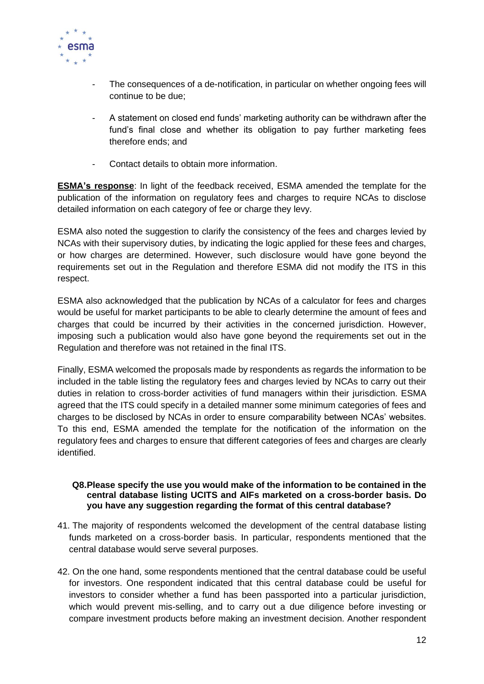

- The consequences of a de-notification, in particular on whether ongoing fees will continue to be due;
- A statement on closed end funds' marketing authority can be withdrawn after the fund's final close and whether its obligation to pay further marketing fees therefore ends; and
- Contact details to obtain more information.

**ESMA's response**: In light of the feedback received, ESMA amended the template for the publication of the information on regulatory fees and charges to require NCAs to disclose detailed information on each category of fee or charge they levy.

ESMA also noted the suggestion to clarify the consistency of the fees and charges levied by NCAs with their supervisory duties, by indicating the logic applied for these fees and charges, or how charges are determined. However, such disclosure would have gone beyond the requirements set out in the Regulation and therefore ESMA did not modify the ITS in this respect.

ESMA also acknowledged that the publication by NCAs of a calculator for fees and charges would be useful for market participants to be able to clearly determine the amount of fees and charges that could be incurred by their activities in the concerned jurisdiction. However, imposing such a publication would also have gone beyond the requirements set out in the Regulation and therefore was not retained in the final ITS.

Finally, ESMA welcomed the proposals made by respondents as regards the information to be included in the table listing the regulatory fees and charges levied by NCAs to carry out their duties in relation to cross-border activities of fund managers within their jurisdiction. ESMA agreed that the ITS could specify in a detailed manner some minimum categories of fees and charges to be disclosed by NCAs in order to ensure comparability between NCAs' websites. To this end, ESMA amended the template for the notification of the information on the regulatory fees and charges to ensure that different categories of fees and charges are clearly identified.

#### **Q8.Please specify the use you would make of the information to be contained in the central database listing UCITS and AIFs marketed on a cross-border basis. Do you have any suggestion regarding the format of this central database?**

- 41. The majority of respondents welcomed the development of the central database listing funds marketed on a cross-border basis. In particular, respondents mentioned that the central database would serve several purposes.
- 42. On the one hand, some respondents mentioned that the central database could be useful for investors. One respondent indicated that this central database could be useful for investors to consider whether a fund has been passported into a particular jurisdiction, which would prevent mis-selling, and to carry out a due diligence before investing or compare investment products before making an investment decision. Another respondent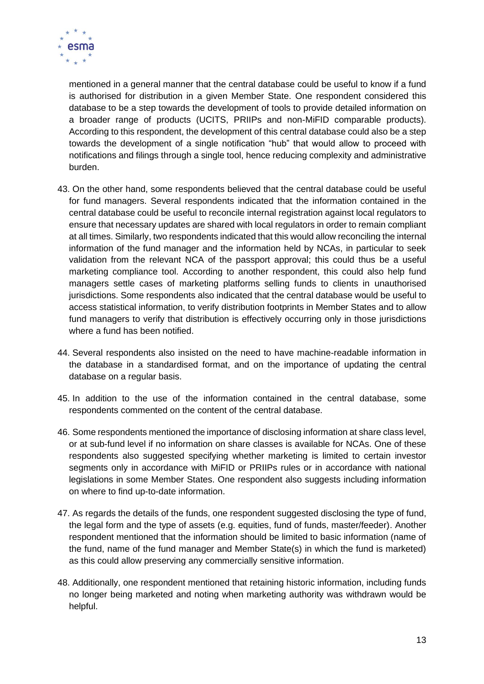

mentioned in a general manner that the central database could be useful to know if a fund is authorised for distribution in a given Member State. One respondent considered this database to be a step towards the development of tools to provide detailed information on a broader range of products (UCITS, PRIIPs and non-MiFID comparable products). According to this respondent, the development of this central database could also be a step towards the development of a single notification "hub" that would allow to proceed with notifications and filings through a single tool, hence reducing complexity and administrative burden.

- 43. On the other hand, some respondents believed that the central database could be useful for fund managers. Several respondents indicated that the information contained in the central database could be useful to reconcile internal registration against local regulators to ensure that necessary updates are shared with local regulators in order to remain compliant at all times. Similarly, two respondents indicated that this would allow reconciling the internal information of the fund manager and the information held by NCAs, in particular to seek validation from the relevant NCA of the passport approval; this could thus be a useful marketing compliance tool. According to another respondent, this could also help fund managers settle cases of marketing platforms selling funds to clients in unauthorised jurisdictions. Some respondents also indicated that the central database would be useful to access statistical information, to verify distribution footprints in Member States and to allow fund managers to verify that distribution is effectively occurring only in those jurisdictions where a fund has been notified.
- 44. Several respondents also insisted on the need to have machine-readable information in the database in a standardised format, and on the importance of updating the central database on a regular basis.
- 45. In addition to the use of the information contained in the central database, some respondents commented on the content of the central database.
- 46. Some respondents mentioned the importance of disclosing information at share class level, or at sub-fund level if no information on share classes is available for NCAs. One of these respondents also suggested specifying whether marketing is limited to certain investor segments only in accordance with MiFID or PRIIPs rules or in accordance with national legislations in some Member States. One respondent also suggests including information on where to find up-to-date information.
- 47. As regards the details of the funds, one respondent suggested disclosing the type of fund, the legal form and the type of assets (e.g. equities, fund of funds, master/feeder). Another respondent mentioned that the information should be limited to basic information (name of the fund, name of the fund manager and Member State(s) in which the fund is marketed) as this could allow preserving any commercially sensitive information.
- 48. Additionally, one respondent mentioned that retaining historic information, including funds no longer being marketed and noting when marketing authority was withdrawn would be helpful.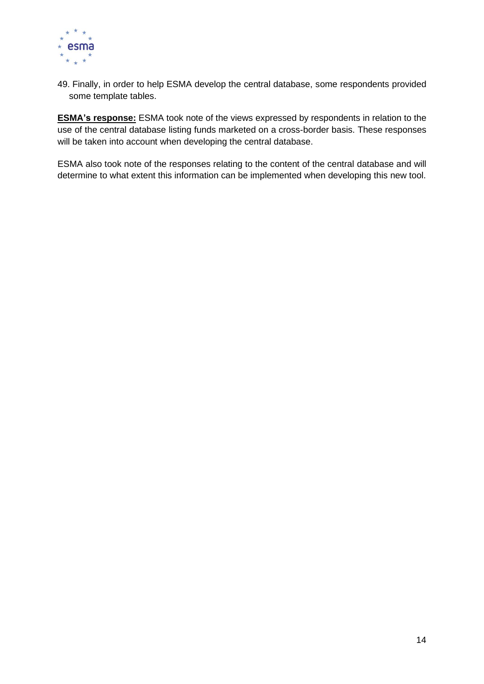

49. Finally, in order to help ESMA develop the central database, some respondents provided some template tables.

**ESMA's response:** ESMA took note of the views expressed by respondents in relation to the use of the central database listing funds marketed on a cross-border basis. These responses will be taken into account when developing the central database.

ESMA also took note of the responses relating to the content of the central database and will determine to what extent this information can be implemented when developing this new tool.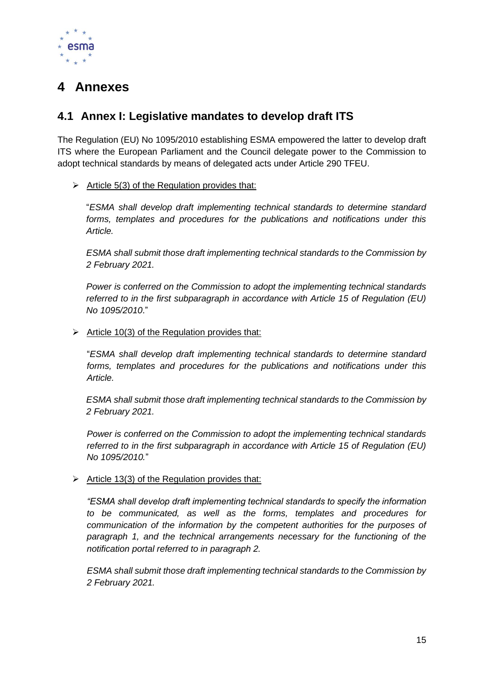

# <span id="page-15-0"></span>**4 Annexes**

## <span id="page-15-1"></span>**4.1 Annex I: Legislative mandates to develop draft ITS**

The Regulation (EU) No 1095/2010 establishing ESMA empowered the latter to develop draft ITS where the European Parliament and the Council delegate power to the Commission to adopt technical standards by means of delegated acts under Article 290 TFEU.

 $\triangleright$  Article 5(3) of the Regulation provides that:

"*ESMA shall develop draft implementing technical standards to determine standard forms, templates and procedures for the publications and notifications under this Article.*

*ESMA shall submit those draft implementing technical standards to the Commission by 2 February 2021.*

*Power is conferred on the Commission to adopt the implementing technical standards referred to in the first subparagraph in accordance with Article 15 of Regulation (EU) No 1095/2010*."

➢ Article 10(3) of the Regulation provides that:

"*ESMA shall develop draft implementing technical standards to determine standard forms, templates and procedures for the publications and notifications under this Article.*

*ESMA shall submit those draft implementing technical standards to the Commission by 2 February 2021.*

*Power is conferred on the Commission to adopt the implementing technical standards referred to in the first subparagraph in accordance with Article 15 of Regulation (EU) No 1095/2010.*"

#### $\triangleright$  Article 13(3) of the Regulation provides that:

*"ESMA shall develop draft implementing technical standards to specify the information to be communicated, as well as the forms, templates and procedures for communication of the information by the competent authorities for the purposes of paragraph 1, and the technical arrangements necessary for the functioning of the notification portal referred to in paragraph 2.*

*ESMA shall submit those draft implementing technical standards to the Commission by 2 February 2021.*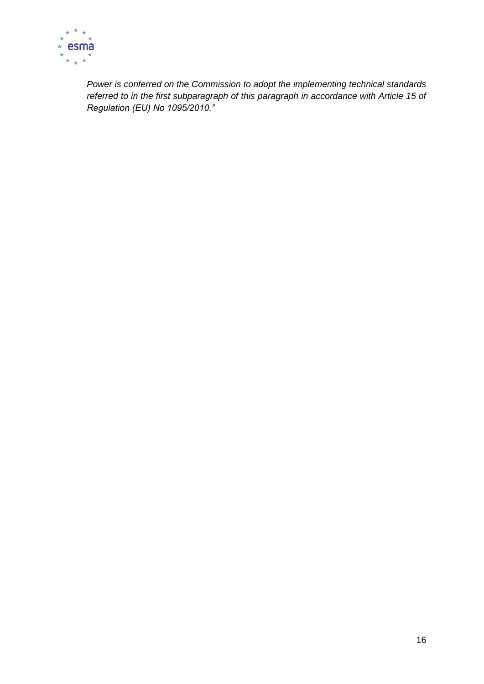

*Power is conferred on the Commission to adopt the implementing technical standards referred to in the first subparagraph of this paragraph in accordance with Article 15 of Regulation (EU) No 1095/2010."*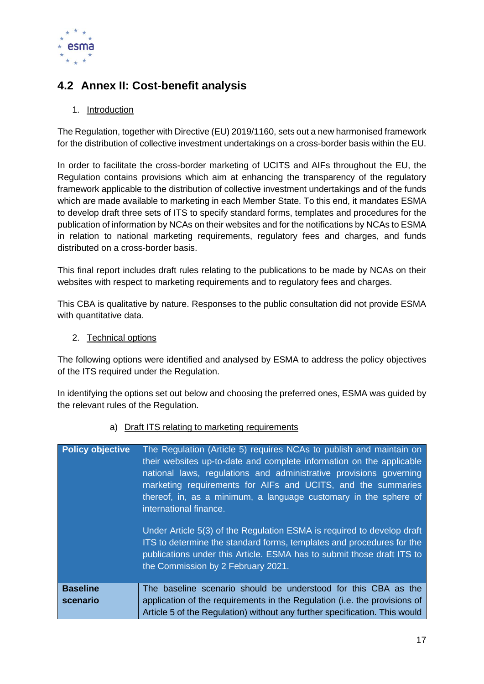

## <span id="page-17-0"></span>**4.2 Annex II: Cost-benefit analysis**

#### 1. Introduction

The Regulation, together with Directive (EU) 2019/1160, sets out a new harmonised framework for the distribution of collective investment undertakings on a cross-border basis within the EU.

In order to facilitate the cross-border marketing of UCITS and AIFs throughout the EU, the Regulation contains provisions which aim at enhancing the transparency of the regulatory framework applicable to the distribution of collective investment undertakings and of the funds which are made available to marketing in each Member State. To this end, it mandates ESMA to develop draft three sets of ITS to specify standard forms, templates and procedures for the publication of information by NCAs on their websites and for the notifications by NCAs to ESMA in relation to national marketing requirements, regulatory fees and charges, and funds distributed on a cross-border basis.

This final report includes draft rules relating to the publications to be made by NCAs on their websites with respect to marketing requirements and to regulatory fees and charges.

This CBA is qualitative by nature. Responses to the public consultation did not provide ESMA with quantitative data.

2. Technical options

The following options were identified and analysed by ESMA to address the policy objectives of the ITS required under the Regulation.

In identifying the options set out below and choosing the preferred ones, ESMA was guided by the relevant rules of the Regulation.

| <b>Policy objective</b> | The Regulation (Article 5) requires NCAs to publish and maintain on<br>their websites up-to-date and complete information on the applicable<br>national laws, regulations and administrative provisions governing<br>marketing requirements for AIFs and UCITS, and the summaries<br>thereof, in, as a minimum, a language customary in the sphere of<br>international finance. |
|-------------------------|---------------------------------------------------------------------------------------------------------------------------------------------------------------------------------------------------------------------------------------------------------------------------------------------------------------------------------------------------------------------------------|
|                         | Under Article 5(3) of the Regulation ESMA is required to develop draft<br>ITS to determine the standard forms, templates and procedures for the<br>publications under this Article. ESMA has to submit those draft ITS to<br>the Commission by 2 February 2021.                                                                                                                 |
| <b>Baseline</b>         | The baseline scenario should be understood for this CBA as the                                                                                                                                                                                                                                                                                                                  |
| scenario                | application of the requirements in the Regulation (i.e. the provisions of<br>Article 5 of the Regulation) without any further specification. This would                                                                                                                                                                                                                         |

#### a) Draft ITS relating to marketing requirements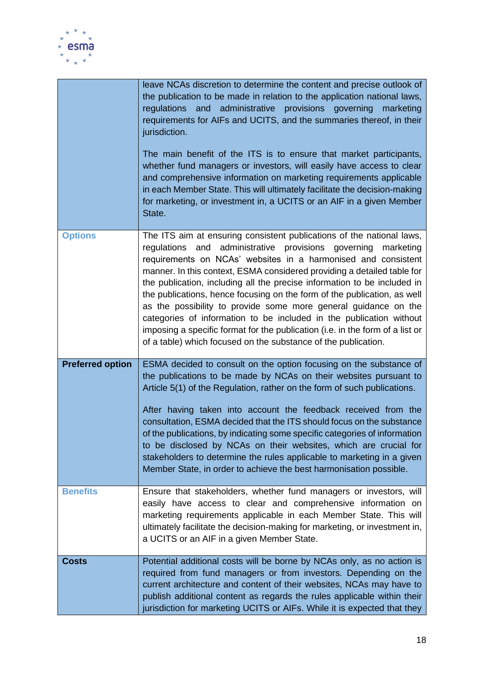

|                         | leave NCAs discretion to determine the content and precise outlook of<br>the publication to be made in relation to the application national laws,<br>and administrative provisions governing<br>regulations<br>marketing<br>requirements for AIFs and UCITS, and the summaries thereof, in their<br>jurisdiction.<br>The main benefit of the ITS is to ensure that market participants,<br>whether fund managers or investors, will easily have access to clear<br>and comprehensive information on marketing requirements applicable<br>in each Member State. This will ultimately facilitate the decision-making<br>for marketing, or investment in, a UCITS or an AIF in a given Member<br>State.                                             |
|-------------------------|--------------------------------------------------------------------------------------------------------------------------------------------------------------------------------------------------------------------------------------------------------------------------------------------------------------------------------------------------------------------------------------------------------------------------------------------------------------------------------------------------------------------------------------------------------------------------------------------------------------------------------------------------------------------------------------------------------------------------------------------------|
| <b>Options</b>          | The ITS aim at ensuring consistent publications of the national laws,<br>administrative provisions<br>regulations and<br>governing<br>marketing<br>requirements on NCAs' websites in a harmonised and consistent<br>manner. In this context, ESMA considered providing a detailed table for<br>the publication, including all the precise information to be included in<br>the publications, hence focusing on the form of the publication, as well<br>as the possibility to provide some more general guidance on the<br>categories of information to be included in the publication without<br>imposing a specific format for the publication (i.e. in the form of a list or<br>of a table) which focused on the substance of the publication. |
| <b>Preferred option</b> | ESMA decided to consult on the option focusing on the substance of<br>the publications to be made by NCAs on their websites pursuant to<br>Article 5(1) of the Regulation, rather on the form of such publications.<br>After having taken into account the feedback received from the<br>consultation, ESMA decided that the ITS should focus on the substance<br>of the publications, by indicating some specific categories of information<br>to be disclosed by NCAs on their websites, which are crucial for<br>stakeholders to determine the rules applicable to marketing in a given<br>Member State, in order to achieve the best harmonisation possible.                                                                                 |
| <b>Benefits</b>         | Ensure that stakeholders, whether fund managers or investors, will<br>easily have access to clear and comprehensive information on<br>marketing requirements applicable in each Member State. This will<br>ultimately facilitate the decision-making for marketing, or investment in,<br>a UCITS or an AIF in a given Member State.                                                                                                                                                                                                                                                                                                                                                                                                              |
| <b>Costs</b>            | Potential additional costs will be borne by NCAs only, as no action is<br>required from fund managers or from investors. Depending on the<br>current architecture and content of their websites, NCAs may have to<br>publish additional content as regards the rules applicable within their<br>jurisdiction for marketing UCITS or AIFs. While it is expected that they                                                                                                                                                                                                                                                                                                                                                                         |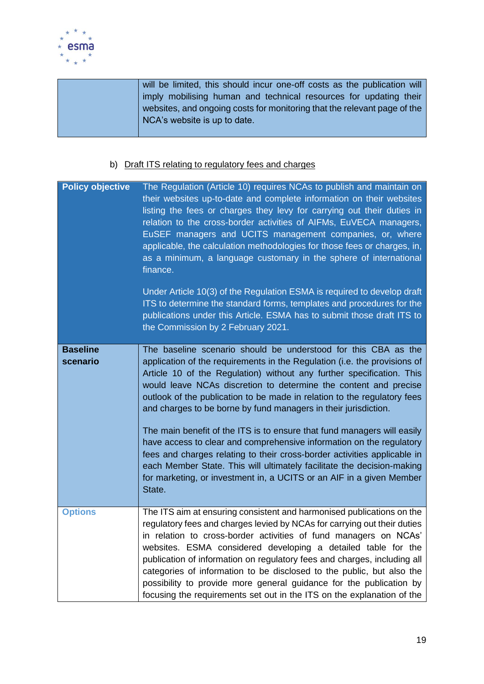

will be limited, this should incur one-off costs as the publication will imply mobilising human and technical resources for updating their websites, and ongoing costs for monitoring that the relevant page of the NCA's website is up to date.

#### b) Draft ITS relating to regulatory fees and charges

| <b>Policy objective</b>     | The Regulation (Article 10) requires NCAs to publish and maintain on<br>their websites up-to-date and complete information on their websites<br>listing the fees or charges they levy for carrying out their duties in<br>relation to the cross-border activities of AIFMs, EuVECA managers,<br>EuSEF managers and UCITS management companies, or, where<br>applicable, the calculation methodologies for those fees or charges, in,<br>as a minimum, a language customary in the sphere of international<br>finance.<br>Under Article 10(3) of the Regulation ESMA is required to develop draft                                                                                                                                                                                                                                   |
|-----------------------------|------------------------------------------------------------------------------------------------------------------------------------------------------------------------------------------------------------------------------------------------------------------------------------------------------------------------------------------------------------------------------------------------------------------------------------------------------------------------------------------------------------------------------------------------------------------------------------------------------------------------------------------------------------------------------------------------------------------------------------------------------------------------------------------------------------------------------------|
|                             | ITS to determine the standard forms, templates and procedures for the<br>publications under this Article. ESMA has to submit those draft ITS to<br>the Commission by 2 February 2021.                                                                                                                                                                                                                                                                                                                                                                                                                                                                                                                                                                                                                                              |
| <b>Baseline</b><br>scenario | The baseline scenario should be understood for this CBA as the<br>application of the requirements in the Regulation (i.e. the provisions of<br>Article 10 of the Regulation) without any further specification. This<br>would leave NCAs discretion to determine the content and precise<br>outlook of the publication to be made in relation to the regulatory fees<br>and charges to be borne by fund managers in their jurisdiction.<br>The main benefit of the ITS is to ensure that fund managers will easily<br>have access to clear and comprehensive information on the regulatory<br>fees and charges relating to their cross-border activities applicable in<br>each Member State. This will ultimately facilitate the decision-making<br>for marketing, or investment in, a UCITS or an AIF in a given Member<br>State. |
| <b>Options</b>              | The ITS aim at ensuring consistent and harmonised publications on the<br>regulatory fees and charges levied by NCAs for carrying out their duties<br>in relation to cross-border activities of fund managers on NCAs'<br>websites. ESMA considered developing a detailed table for the<br>publication of information on regulatory fees and charges, including all<br>categories of information to be disclosed to the public, but also the<br>possibility to provide more general guidance for the publication by<br>focusing the requirements set out in the ITS on the explanation of the                                                                                                                                                                                                                                       |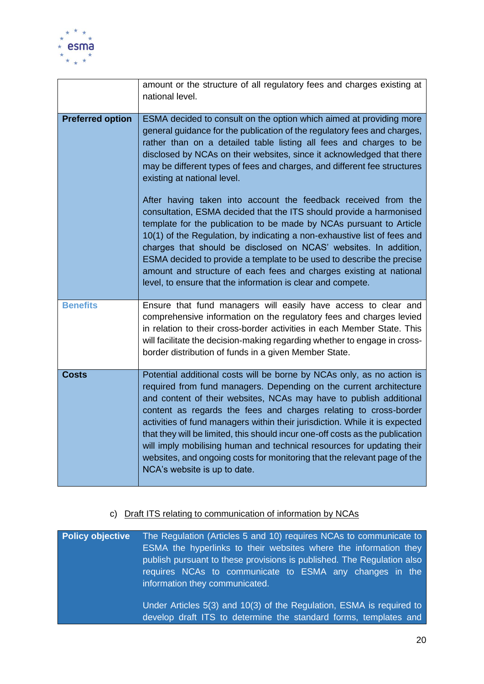

|                         | amount or the structure of all regulatory fees and charges existing at<br>national level.                                                                                                                                                                                                                                                                                                                                                                                                                                                                                                                                                    |
|-------------------------|----------------------------------------------------------------------------------------------------------------------------------------------------------------------------------------------------------------------------------------------------------------------------------------------------------------------------------------------------------------------------------------------------------------------------------------------------------------------------------------------------------------------------------------------------------------------------------------------------------------------------------------------|
| <b>Preferred option</b> | ESMA decided to consult on the option which aimed at providing more<br>general guidance for the publication of the regulatory fees and charges,<br>rather than on a detailed table listing all fees and charges to be<br>disclosed by NCAs on their websites, since it acknowledged that there<br>may be different types of fees and charges, and different fee structures<br>existing at national level.                                                                                                                                                                                                                                    |
|                         | After having taken into account the feedback received from the<br>consultation, ESMA decided that the ITS should provide a harmonised<br>template for the publication to be made by NCAs pursuant to Article<br>10(1) of the Regulation, by indicating a non-exhaustive list of fees and<br>charges that should be disclosed on NCAS' websites. In addition,<br>ESMA decided to provide a template to be used to describe the precise<br>amount and structure of each fees and charges existing at national<br>level, to ensure that the information is clear and compete.                                                                   |
| <b>Benefits</b>         | Ensure that fund managers will easily have access to clear and<br>comprehensive information on the regulatory fees and charges levied<br>in relation to their cross-border activities in each Member State. This<br>will facilitate the decision-making regarding whether to engage in cross-<br>border distribution of funds in a given Member State.                                                                                                                                                                                                                                                                                       |
| <b>Costs</b>            | Potential additional costs will be borne by NCAs only, as no action is<br>required from fund managers. Depending on the current architecture<br>and content of their websites, NCAs may have to publish additional<br>content as regards the fees and charges relating to cross-border<br>activities of fund managers within their jurisdiction. While it is expected<br>that they will be limited, this should incur one-off costs as the publication<br>will imply mobilising human and technical resources for updating their<br>websites, and ongoing costs for monitoring that the relevant page of the<br>NCA's website is up to date. |

## c) Draft ITS relating to communication of information by NCAs

| <b>Policy objective</b> | The Regulation (Articles 5 and 10) requires NCAs to communicate to<br>ESMA the hyperlinks to their websites where the information they<br>publish pursuant to these provisions is published. The Regulation also<br>requires NCAs to communicate to ESMA any changes in the<br>information they communicated. |
|-------------------------|---------------------------------------------------------------------------------------------------------------------------------------------------------------------------------------------------------------------------------------------------------------------------------------------------------------|
|                         | Under Articles 5(3) and 10(3) of the Regulation, ESMA is required to<br>develop draft ITS to determine the standard forms, templates and                                                                                                                                                                      |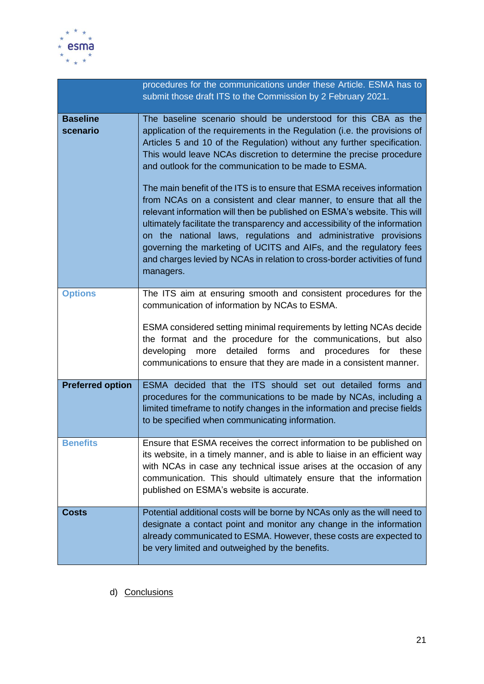

|                             | procedures for the communications under these Article. ESMA has to<br>submit those draft ITS to the Commission by 2 February 2021.                                                                                                                                                                                                                                                                                                                                                                                                                                                                                                                                                                                                                                                                                                                                                                    |
|-----------------------------|-------------------------------------------------------------------------------------------------------------------------------------------------------------------------------------------------------------------------------------------------------------------------------------------------------------------------------------------------------------------------------------------------------------------------------------------------------------------------------------------------------------------------------------------------------------------------------------------------------------------------------------------------------------------------------------------------------------------------------------------------------------------------------------------------------------------------------------------------------------------------------------------------------|
| <b>Baseline</b><br>scenario | The baseline scenario should be understood for this CBA as the<br>application of the requirements in the Regulation (i.e. the provisions of<br>Articles 5 and 10 of the Regulation) without any further specification.<br>This would leave NCAs discretion to determine the precise procedure<br>and outlook for the communication to be made to ESMA.<br>The main benefit of the ITS is to ensure that ESMA receives information<br>from NCAs on a consistent and clear manner, to ensure that all the<br>relevant information will then be published on ESMA's website. This will<br>ultimately facilitate the transparency and accessibility of the information<br>on the national laws, regulations and administrative provisions<br>governing the marketing of UCITS and AIFs, and the regulatory fees<br>and charges levied by NCAs in relation to cross-border activities of fund<br>managers. |
| <b>Options</b>              | The ITS aim at ensuring smooth and consistent procedures for the<br>communication of information by NCAs to ESMA.<br>ESMA considered setting minimal requirements by letting NCAs decide<br>the format and the procedure for the communications, but also<br>detailed<br>forms<br>and procedures for these<br>developing<br>more<br>communications to ensure that they are made in a consistent manner.                                                                                                                                                                                                                                                                                                                                                                                                                                                                                               |
| <b>Preferred option</b>     | ESMA decided that the ITS should set out detailed forms and<br>procedures for the communications to be made by NCAs, including a<br>limited timeframe to notify changes in the information and precise fields<br>to be specified when communicating information.                                                                                                                                                                                                                                                                                                                                                                                                                                                                                                                                                                                                                                      |
| <b>Benefits</b>             | Ensure that ESMA receives the correct information to be published on<br>its website, in a timely manner, and is able to liaise in an efficient way<br>with NCAs in case any technical issue arises at the occasion of any<br>communication. This should ultimately ensure that the information<br>published on ESMA's website is accurate.                                                                                                                                                                                                                                                                                                                                                                                                                                                                                                                                                            |
| <b>Costs</b>                | Potential additional costs will be borne by NCAs only as the will need to<br>designate a contact point and monitor any change in the information<br>already communicated to ESMA. However, these costs are expected to<br>be very limited and outweighed by the benefits.                                                                                                                                                                                                                                                                                                                                                                                                                                                                                                                                                                                                                             |

d) Conclusions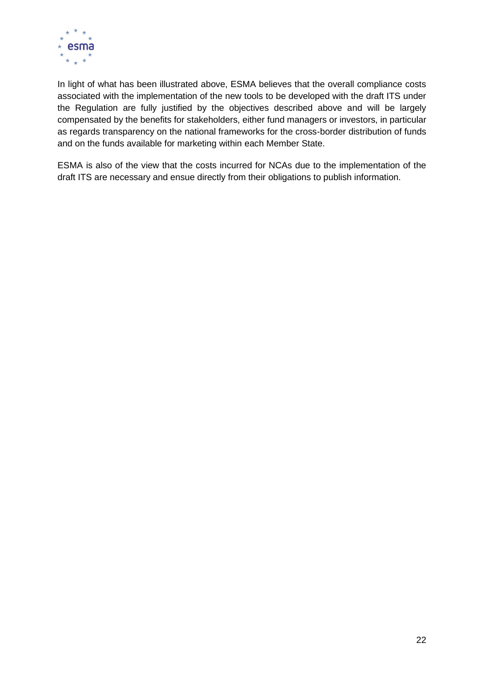

In light of what has been illustrated above, ESMA believes that the overall compliance costs associated with the implementation of the new tools to be developed with the draft ITS under the Regulation are fully justified by the objectives described above and will be largely compensated by the benefits for stakeholders, either fund managers or investors, in particular as regards transparency on the national frameworks for the cross-border distribution of funds and on the funds available for marketing within each Member State.

ESMA is also of the view that the costs incurred for NCAs due to the implementation of the draft ITS are necessary and ensue directly from their obligations to publish information.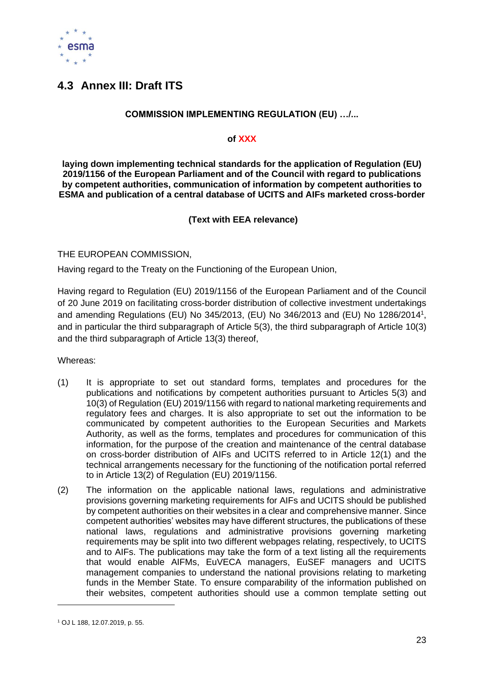

## <span id="page-23-0"></span>**4.3 Annex III: Draft ITS**

#### **COMMISSION IMPLEMENTING REGULATION (EU) …/...**

#### **of XXX**

**laying down implementing technical standards for the application of Regulation (EU) 2019/1156 of the European Parliament and of the Council with regard to publications by competent authorities, communication of information by competent authorities to ESMA and publication of a central database of UCITS and AIFs marketed cross-border**

#### **(Text with EEA relevance)**

#### THE EUROPEAN COMMISSION,

Having regard to the Treaty on the Functioning of the European Union,

Having regard to Regulation (EU) 2019/1156 of the European Parliament and of the Council of 20 June 2019 on facilitating cross-border distribution of collective investment undertakings and amending Regulations (EU) No 345/2013, (EU) No 346/2013 and (EU) No 1286/2014<sup>1</sup> , and in particular the third subparagraph of Article 5(3), the third subparagraph of Article 10(3) and the third subparagraph of Article 13(3) thereof,

Whereas:

- (1) It is appropriate to set out standard forms, templates and procedures for the publications and notifications by competent authorities pursuant to Articles 5(3) and 10(3) of Regulation (EU) 2019/1156 with regard to national marketing requirements and regulatory fees and charges. It is also appropriate to set out the information to be communicated by competent authorities to the European Securities and Markets Authority, as well as the forms, templates and procedures for communication of this information, for the purpose of the creation and maintenance of the central database on cross-border distribution of AIFs and UCITS referred to in Article 12(1) and the technical arrangements necessary for the functioning of the notification portal referred to in Article 13(2) of Regulation (EU) 2019/1156.
- (2) The information on the applicable national laws, regulations and administrative provisions governing marketing requirements for AIFs and UCITS should be published by competent authorities on their websites in a clear and comprehensive manner. Since competent authorities' websites may have different structures, the publications of these national laws, regulations and administrative provisions governing marketing requirements may be split into two different webpages relating, respectively, to UCITS and to AIFs. The publications may take the form of a text listing all the requirements that would enable AIFMs, EuVECA managers, EuSEF managers and UCITS management companies to understand the national provisions relating to marketing funds in the Member State. To ensure comparability of the information published on their websites, competent authorities should use a common template setting out

<sup>1</sup> [OJ L 188, 12.07.2019, p.](https://eur-lex.europa.eu/legal-content/EN/TXT/?uri=OJ:L:2019:188:TOC) 55.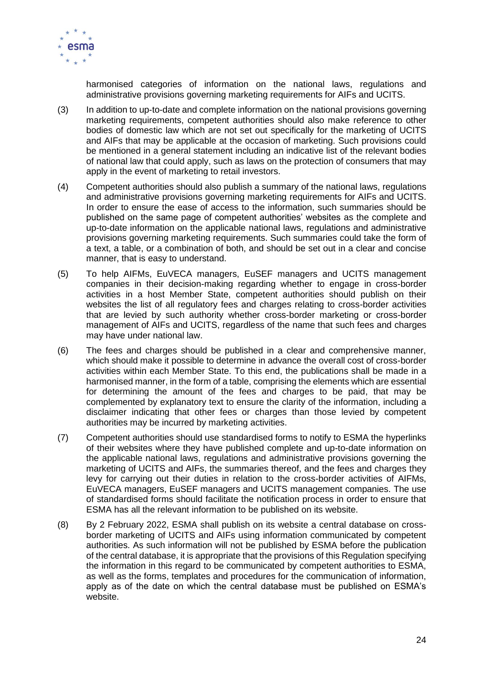

harmonised categories of information on the national laws, regulations and administrative provisions governing marketing requirements for AIFs and UCITS.

- (3) In addition to up-to-date and complete information on the national provisions governing marketing requirements, competent authorities should also make reference to other bodies of domestic law which are not set out specifically for the marketing of UCITS and AIFs that may be applicable at the occasion of marketing. Such provisions could be mentioned in a general statement including an indicative list of the relevant bodies of national law that could apply, such as laws on the protection of consumers that may apply in the event of marketing to retail investors.
- (4) Competent authorities should also publish a summary of the national laws, regulations and administrative provisions governing marketing requirements for AIFs and UCITS. In order to ensure the ease of access to the information, such summaries should be published on the same page of competent authorities' websites as the complete and up-to-date information on the applicable national laws, regulations and administrative provisions governing marketing requirements. Such summaries could take the form of a text, a table, or a combination of both, and should be set out in a clear and concise manner, that is easy to understand.
- (5) To help AIFMs, EuVECA managers, EuSEF managers and UCITS management companies in their decision-making regarding whether to engage in cross-border activities in a host Member State, competent authorities should publish on their websites the list of all regulatory fees and charges relating to cross-border activities that are levied by such authority whether cross-border marketing or cross-border management of AIFs and UCITS, regardless of the name that such fees and charges may have under national law.
- (6) The fees and charges should be published in a clear and comprehensive manner, which should make it possible to determine in advance the overall cost of cross-border activities within each Member State. To this end, the publications shall be made in a harmonised manner, in the form of a table, comprising the elements which are essential for determining the amount of the fees and charges to be paid, that may be complemented by explanatory text to ensure the clarity of the information, including a disclaimer indicating that other fees or charges than those levied by competent authorities may be incurred by marketing activities.
- (7) Competent authorities should use standardised forms to notify to ESMA the hyperlinks of their websites where they have published complete and up-to-date information on the applicable national laws, regulations and administrative provisions governing the marketing of UCITS and AIFs, the summaries thereof, and the fees and charges they levy for carrying out their duties in relation to the cross-border activities of AIFMs, EuVECA managers, EuSEF managers and UCITS management companies. The use of standardised forms should facilitate the notification process in order to ensure that ESMA has all the relevant information to be published on its website.
- (8) By 2 February 2022, ESMA shall publish on its website a central database on crossborder marketing of UCITS and AIFs using information communicated by competent authorities. As such information will not be published by ESMA before the publication of the central database, it is appropriate that the provisions of this Regulation specifying the information in this regard to be communicated by competent authorities to ESMA, as well as the forms, templates and procedures for the communication of information, apply as of the date on which the central database must be published on ESMA's website.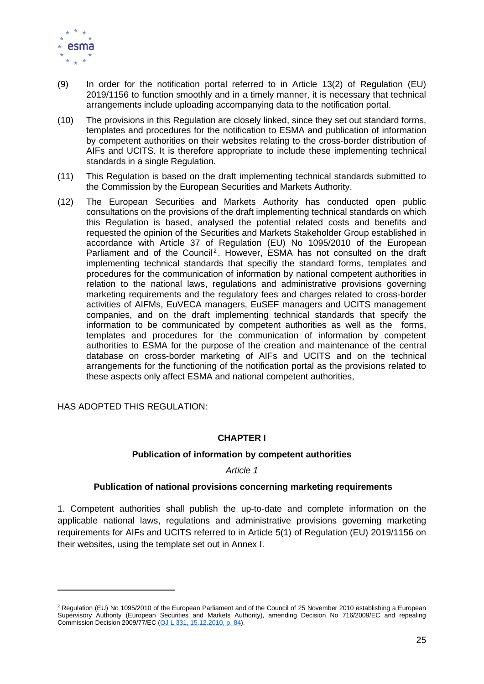

- (9) In order for the notification portal referred to in Article 13(2) of Regulation (EU) 2019/1156 to function smoothly and in a timely manner, it is necessary that technical arrangements include uploading accompanying data to the notification portal.
- (10) The provisions in this Regulation are closely linked, since they set out standard forms, templates and procedures for the notification to ESMA and publication of information by competent authorities on their websites relating to the cross-border distribution of AIFs and UCITS. It is therefore appropriate to include these implementing technical standards in a single Regulation.
- (11) This Regulation is based on the draft implementing technical standards submitted to the Commission by the European Securities and Markets Authority.
- (12) The European Securities and Markets Authority has conducted open public consultations on the provisions of the draft implementing technical standards on which this Regulation is based, analysed the potential related costs and benefits and requested the opinion of the Securities and Markets Stakeholder Group established in accordance with Article 37 of Regulation (EU) No 1095/2010 of the European Parliament and of the Council<sup>2</sup>. However, ESMA has not consulted on the draft implementing technical standards that specifiy the standard forms, templates and procedures for the communication of information by national competent authorities in relation to the national laws, regulations and administrative provisions governing marketing requirements and the regulatory fees and charges related to cross-border activities of AIFMs, EuVECA managers, EuSEF managers and UCITS management companies, and on the draft implementing technical standards that specify the information to be communicated by competent authorities as well as the forms, templates and procedures for the communication of information by competent authorities to ESMA for the purpose of the creation and maintenance of the central database on cross-border marketing of AIFs and UCITS and on the technical arrangements for the functioning of the notification portal as the provisions related to these aspects only affect ESMA and national competent authorities,

HAS ADOPTED THIS REGULATION:

#### **CHAPTER I**

#### **Publication of information by competent authorities**

*Article 1*

#### **Publication of national provisions concerning marketing requirements**

1. Competent authorities shall publish the up-to-date and complete information on the applicable national laws, regulations and administrative provisions governing marketing requirements for AIFs and UCITS referred to in Article 5(1) of Regulation (EU) 2019/1156 on their websites, using the template set out in Annex I.

<sup>&</sup>lt;sup>2</sup> Regulation (EU) No 1095/2010 of the European Parliament and of the Council of 25 November 2010 establishing a European Supervisory Authority (European Securities and Markets Authority), amending Decision No 716/2009/EC and repealing Commission Decision 2009/77/EC [\(OJ L 331, 15.12.2010, p.](https://eur-lex.europa.eu/legal-content/EN/AUTO/?uri=OJ:L:2010:331:TOC) 84).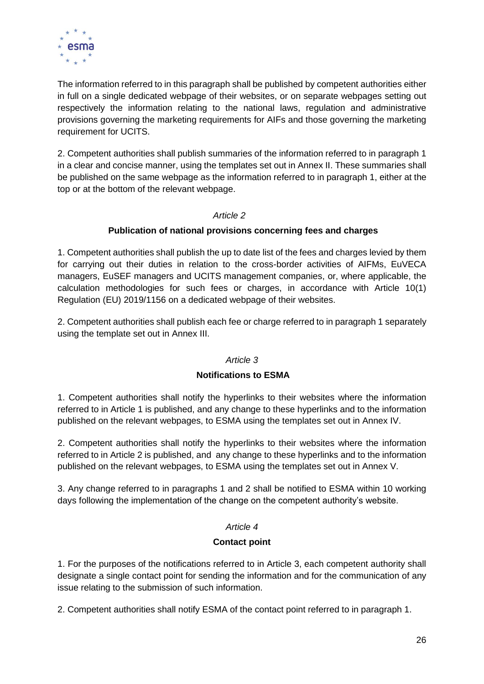

The information referred to in this paragraph shall be published by competent authorities either in full on a single dedicated webpage of their websites, or on separate webpages setting out respectively the information relating to the national laws, regulation and administrative provisions governing the marketing requirements for AIFs and those governing the marketing requirement for UCITS.

2. Competent authorities shall publish summaries of the information referred to in paragraph 1 in a clear and concise manner, using the templates set out in Annex II. These summaries shall be published on the same webpage as the information referred to in paragraph 1, either at the top or at the bottom of the relevant webpage.

#### *Article 2*

#### **Publication of national provisions concerning fees and charges**

1. Competent authorities shall publish the up to date list of the fees and charges levied by them for carrying out their duties in relation to the cross-border activities of AIFMs, EuVECA managers, EuSEF managers and UCITS management companies, or, where applicable, the calculation methodologies for such fees or charges, in accordance with Article 10(1) Regulation (EU) 2019/1156 on a dedicated webpage of their websites.

2. Competent authorities shall publish each fee or charge referred to in paragraph 1 separately using the template set out in Annex III.

#### *Article 3*

#### **Notifications to ESMA**

1. Competent authorities shall notify the hyperlinks to their websites where the information referred to in Article 1 is published, and any change to these hyperlinks and to the information published on the relevant webpages, to ESMA using the templates set out in Annex IV.

2. Competent authorities shall notify the hyperlinks to their websites where the information referred to in Article 2 is published, and any change to these hyperlinks and to the information published on the relevant webpages, to ESMA using the templates set out in Annex V.

3. Any change referred to in paragraphs 1 and 2 shall be notified to ESMA within 10 working days following the implementation of the change on the competent authority's website.

#### *Article 4*

#### **Contact point**

1. For the purposes of the notifications referred to in Article 3, each competent authority shall designate a single contact point for sending the information and for the communication of any issue relating to the submission of such information.

2. Competent authorities shall notify ESMA of the contact point referred to in paragraph 1.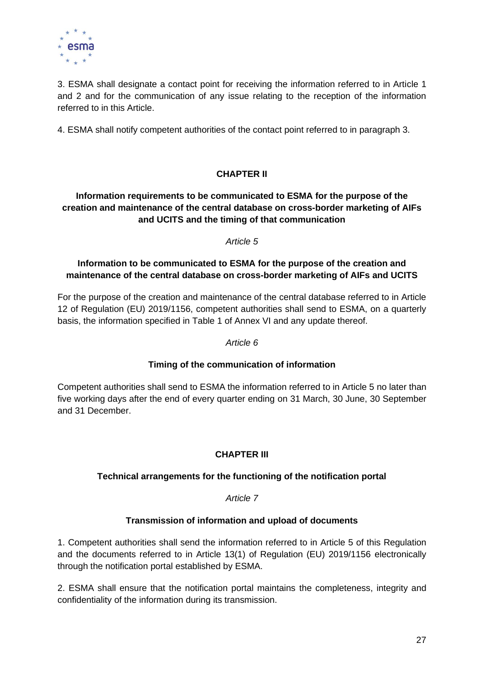

3. ESMA shall designate a contact point for receiving the information referred to in Article 1 and 2 and for the communication of any issue relating to the reception of the information referred to in this Article.

4. ESMA shall notify competent authorities of the contact point referred to in paragraph 3.

#### **CHAPTER II**

#### **Information requirements to be communicated to ESMA for the purpose of the creation and maintenance of the central database on cross-border marketing of AIFs and UCITS and the timing of that communication**

*Article 5*

#### **Information to be communicated to ESMA for the purpose of the creation and maintenance of the central database on cross-border marketing of AIFs and UCITS**

For the purpose of the creation and maintenance of the central database referred to in Article 12 of Regulation (EU) 2019/1156, competent authorities shall send to ESMA, on a quarterly basis, the information specified in Table 1 of Annex VI and any update thereof.

#### *Article 6*

#### **Timing of the communication of information**

Competent authorities shall send to ESMA the information referred to in Article 5 no later than five working days after the end of every quarter ending on 31 March, 30 June, 30 September and 31 December.

#### **CHAPTER III**

#### **Technical arrangements for the functioning of the notification portal**

#### *Article 7*

#### **Transmission of information and upload of documents**

1. Competent authorities shall send the information referred to in Article 5 of this Regulation and the documents referred to in Article 13(1) of Regulation (EU) 2019/1156 electronically through the notification portal established by ESMA.

2. ESMA shall ensure that the notification portal maintains the completeness, integrity and confidentiality of the information during its transmission.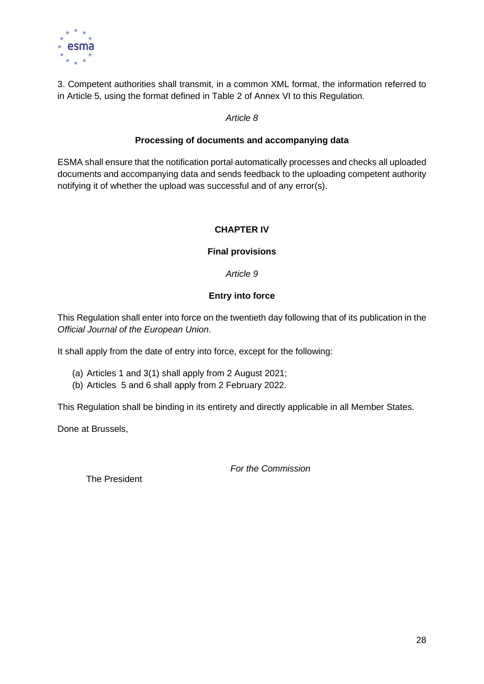

3. Competent authorities shall transmit, in a common XML format, the information referred to in Article 5, using the format defined in Table 2 of Annex VI to this Regulation.

#### *Article 8*

#### **Processing of documents and accompanying data**

ESMA shall ensure that the notification portal automatically processes and checks all uploaded documents and accompanying data and sends feedback to the uploading competent authority notifying it of whether the upload was successful and of any error(s).

#### **CHAPTER IV**

#### **Final provisions**

*Article 9*

#### **Entry into force**

This Regulation shall enter into force on the twentieth day following that of its publication in the *Official Journal of the European Union*.

It shall apply from the date of entry into force, except for the following:

- (a) Articles 1 and 3(1) shall apply from 2 August 2021;
- (b) Articles 5 and 6 shall apply from 2 February 2022.

This Regulation shall be binding in its entirety and directly applicable in all Member States.

Done at Brussels,

*For the Commission*

The President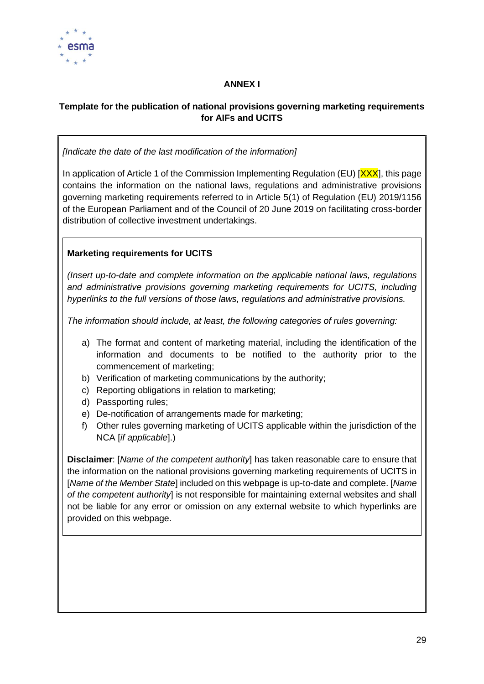

#### **ANNEX I**

#### **Template for the publication of national provisions governing marketing requirements for AIFs and UCITS**

#### *[Indicate the date of the last modification of the information]*

In application of Article 1 of the Commission Implementing Regulation (EU)  $[XXX]$ , this page contains the information on the national laws, regulations and administrative provisions governing marketing requirements referred to in Article 5(1) of Regulation (EU) 2019/1156 of the European Parliament and of the Council of 20 June 2019 on facilitating cross-border distribution of collective investment undertakings.

#### **Marketing requirements for UCITS**

*(Insert up-to-date and complete information on the applicable national laws, regulations and administrative provisions governing marketing requirements for UCITS, including hyperlinks to the full versions of those laws, regulations and administrative provisions.*

*The information should include, at least, the following categories of rules governing:*

- a) The format and content of marketing material, including the identification of the information and documents to be notified to the authority prior to the commencement of marketing;
- b) Verification of marketing communications by the authority;
- c) Reporting obligations in relation to marketing;
- d) Passporting rules;
- e) De-notification of arrangements made for marketing;
- f) Other rules governing marketing of UCITS applicable within the jurisdiction of the NCA [*if applicable*].)

**Disclaimer**: [*Name of the competent authority*] has taken reasonable care to ensure that the information on the national provisions governing marketing requirements of UCITS in [*Name of the Member State*] included on this webpage is up-to-date and complete. [*Name of the competent authority*] is not responsible for maintaining external websites and shall not be liable for any error or omission on any external website to which hyperlinks are provided on this webpage.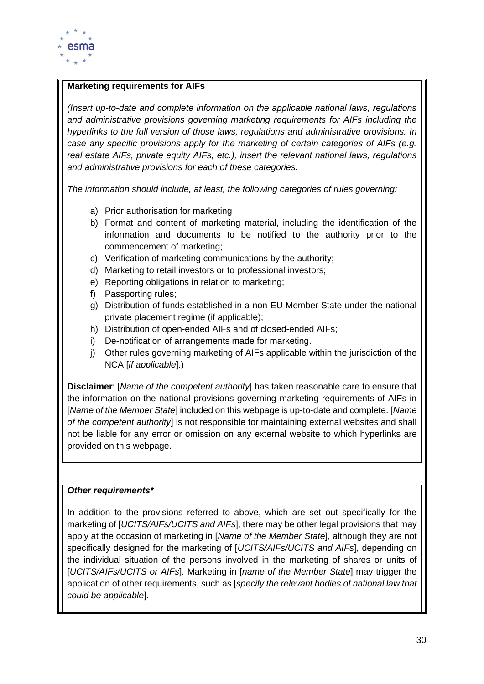

#### **Marketing requirements for AIFs**

*(Insert up-to-date and complete information on the applicable national laws, regulations and administrative provisions governing marketing requirements for AIFs including the hyperlinks to the full version of those laws, regulations and administrative provisions. In case any specific provisions apply for the marketing of certain categories of AIFs (e.g. real estate AIFs, private equity AIFs, etc.), insert the relevant national laws, regulations and administrative provisions for each of these categories.*

*The information should include, at least, the following categories of rules governing:*

- a) Prior authorisation for marketing
- b) Format and content of marketing material, including the identification of the information and documents to be notified to the authority prior to the commencement of marketing;
- c) Verification of marketing communications by the authority;
- d) Marketing to retail investors or to professional investors;
- e) Reporting obligations in relation to marketing;
- f) Passporting rules;
- g) Distribution of funds established in a non-EU Member State under the national private placement regime (if applicable);
- h) Distribution of open-ended AIFs and of closed-ended AIFs;
- i) De-notification of arrangements made for marketing.
- j) Other rules governing marketing of AIFs applicable within the jurisdiction of the NCA [*if applicable*].)

**Disclaimer**: [*Name of the competent authority*] has taken reasonable care to ensure that the information on the national provisions governing marketing requirements of AIFs in [*Name of the Member State*] included on this webpage is up-to-date and complete. [*Name of the competent authority*] is not responsible for maintaining external websites and shall not be liable for any error or omission on any external website to which hyperlinks are provided on this webpage.

#### *Other requirements\**

In addition to the provisions referred to above, which are set out specifically for the marketing of [*UCITS/AIFs/UCITS and AIFs*], there may be other legal provisions that may apply at the occasion of marketing in [*Name of the Member State*], although they are not specifically designed for the marketing of [*UCITS/AIFs/UCITS and AIFs*], depending on the individual situation of the persons involved in the marketing of shares or units of [*UCITS/AIFs/UCITS or AIFs*]. Marketing in [*name of the Member State*] may trigger the application of other requirements, such as [*specify the relevant bodies of national law that could be applicable*].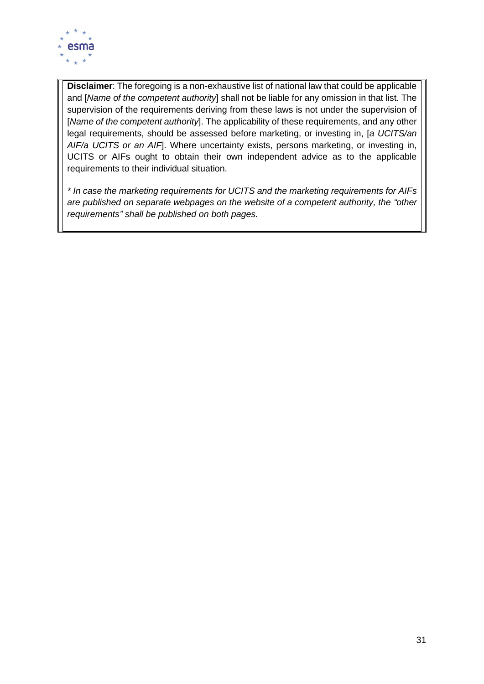

**Disclaimer**: The foregoing is a non-exhaustive list of national law that could be applicable and [*Name of the competent authority*] shall not be liable for any omission in that list. The supervision of the requirements deriving from these laws is not under the supervision of [*Name of the competent authority*]. The applicability of these requirements, and any other legal requirements, should be assessed before marketing, or investing in, [*a UCITS/an AIF/a UCITS or an AIF*]. Where uncertainty exists, persons marketing, or investing in, UCITS or AIFs ought to obtain their own independent advice as to the applicable requirements to their individual situation.

*\* In case the marketing requirements for UCITS and the marketing requirements for AIFs are published on separate webpages on the website of a competent authority, the "other requirements" shall be published on both pages.*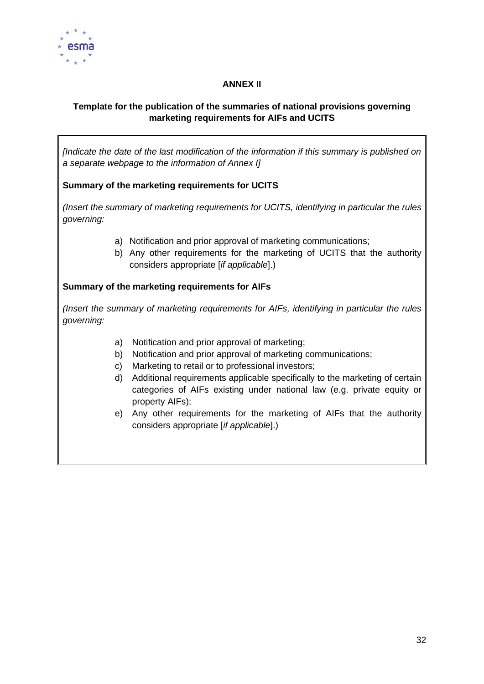

#### **ANNEX II**

#### **Template for the publication of the summaries of national provisions governing marketing requirements for AIFs and UCITS**

*[Indicate the date of the last modification of the information if this summary is published on a separate webpage to the information of Annex I]*

**Summary of the marketing requirements for UCITS**

*(Insert the summary of marketing requirements for UCITS, identifying in particular the rules governing:*

- a) Notification and prior approval of marketing communications;
- b) Any other requirements for the marketing of UCITS that the authority considers appropriate [*if applicable*].)

#### **Summary of the marketing requirements for AIFs**

*(Insert the summary of marketing requirements for AIFs, identifying in particular the rules governing:*

- a) Notification and prior approval of marketing;
- b) Notification and prior approval of marketing communications;
- c) Marketing to retail or to professional investors;
- d) Additional requirements applicable specifically to the marketing of certain categories of AIFs existing under national law (e.g. private equity or property AIFs);
- e) Any other requirements for the marketing of AIFs that the authority considers appropriate [*if applicable*].)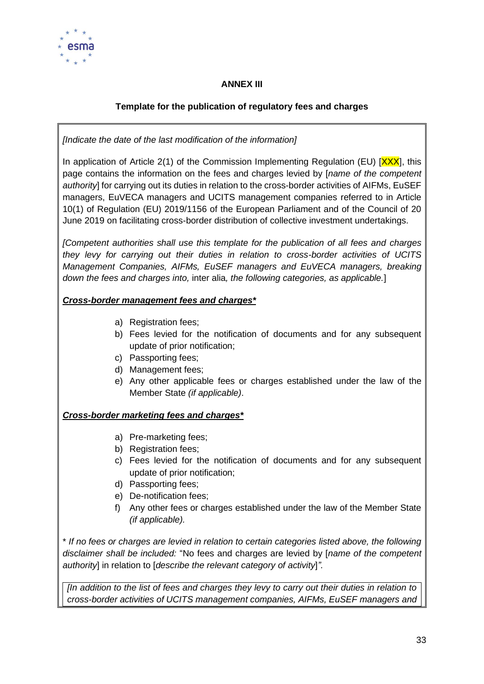

#### **ANNEX III**

#### **Template for the publication of regulatory fees and charges**

*[Indicate the date of the last modification of the information]*

In application of Article 2(1) of the Commission Implementing Regulation (EU)  $[XXX]$ , this page contains the information on the fees and charges levied by [*name of the competent authority*] for carrying out its duties in relation to the cross-border activities of AIFMs, EuSEF managers, EuVECA managers and UCITS management companies referred to in Article 10(1) of Regulation (EU) 2019/1156 of the European Parliament and of the Council of 20 June 2019 on facilitating cross-border distribution of collective investment undertakings.

*[Competent authorities shall use this template for the publication of all fees and charges they levy for carrying out their duties in relation to cross-border activities of UCITS Management Companies, AIFMs, EuSEF managers and EuVECA managers, breaking down the fees and charges into,* inter alia*, the following categories, as applicable.*]

#### *Cross-border management fees and charges\**

- a) Registration fees;
- b) Fees levied for the notification of documents and for any subsequent update of prior notification;
- c) Passporting fees;
- d) Management fees;
- e) Any other applicable fees or charges established under the law of the Member State *(if applicable)*.

#### *Cross-border marketing fees and charges\**

- a) Pre-marketing fees;
- b) Registration fees;
- c) Fees levied for the notification of documents and for any subsequent update of prior notification;
- d) Passporting fees;
- e) De-notification fees;
- f) Any other fees or charges established under the law of the Member State *(if applicable).*

\* *If no fees or charges are levied in relation to certain categories listed above, the following disclaimer shall be included:* "No fees and charges are levied by [*name of the competent authority*] in relation to [*describe the relevant category of activity*]*".*

*[In addition to the list of fees and charges they levy to carry out their duties in relation to cross-border activities of UCITS management companies, AIFMs, EuSEF managers and*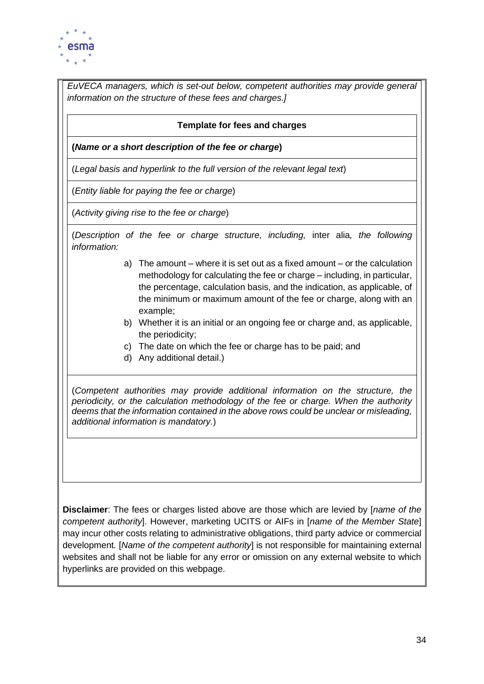

*EuVECA managers, which is set-out below, competent authorities may provide general information on the structure of these fees and charges.]*

#### **Template for fees and charges**

**(***Name or a short description of the fee or charge***)**

(*Legal basis and hyperlink to the full version of the relevant legal text*)

(*Entity liable for paying the fee or charge*)

(*Activity giving rise to the fee or charge*)

(*Description of the fee or charge structure, including,* inter alia*, the following information:* 

- a) The amount where it is set out as a fixed amount or the calculation methodology for calculating the fee or charge – including, in particular, the percentage, calculation basis, and the indication, as applicable, of the minimum or maximum amount of the fee or charge, along with an example;
- b) Whether it is an initial or an ongoing fee or charge and, as applicable, the periodicity;
- c) The date on which the fee or charge has to be paid; and
- d) Any additional detail.)

(*Competent authorities may provide additional information on the structure, the periodicity, or the calculation methodology of the fee or charge. When the authority deems that the information contained in the above rows could be unclear or misleading, additional information is mandatory.*)

**Disclaimer**: The fees or charges listed above are those which are levied by [*name of the competent authority*]. However, marketing UCITS or AIFs in [*name of the Member State*] may incur other costs relating to administrative obligations, third party advice or commercial development*.* [*Name of the competent authority*] is not responsible for maintaining external websites and shall not be liable for any error or omission on any external website to which hyperlinks are provided on this webpage.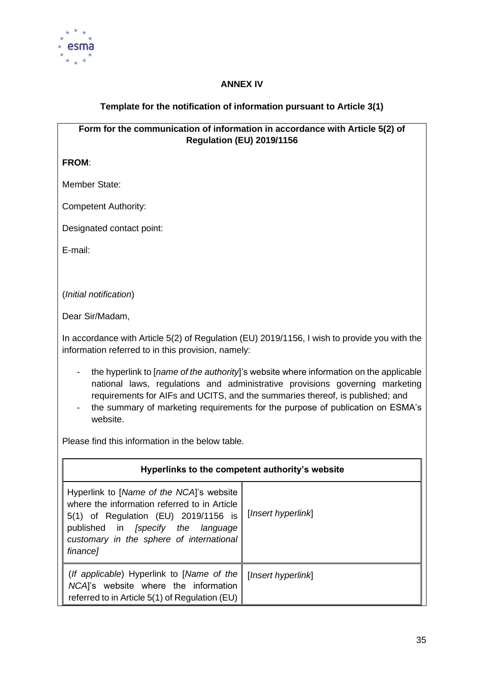

#### **ANNEX IV**

#### **Template for the notification of information pursuant to Article 3(1)**

#### **Form for the communication of information in accordance with Article 5(2) of Regulation (EU) 2019/1156**

#### **FROM**:

Member State:

Competent Authority:

Designated contact point:

E-mail:

(*Initial notification*)

Dear Sir/Madam,

In accordance with Article 5(2) of Regulation (EU) 2019/1156, I wish to provide you with the information referred to in this provision, namely:

- the hyperlink to [*name of the authority*]'s website where information on the applicable national laws, regulations and administrative provisions governing marketing requirements for AIFs and UCITS, and the summaries thereof, is published; and
- the summary of marketing requirements for the purpose of publication on ESMA's website.

Please find this information in the below table.

| Hyperlinks to the competent authority's website                                                                                                                                                                                |                    |
|--------------------------------------------------------------------------------------------------------------------------------------------------------------------------------------------------------------------------------|--------------------|
| Hyperlink to [Name of the NCA]'s website<br>where the information referred to in Article<br>5(1) of Regulation (EU) 2019/1156 is<br>published in [specify the language<br>customary in the sphere of international<br>finance] | [Insert hyperlink] |
| (If applicable) Hyperlink to [Name of the $\parallel$<br>NCA]'s website where the information<br>referred to in Article 5(1) of Regulation (EU)                                                                                | [Insert hyperlink] |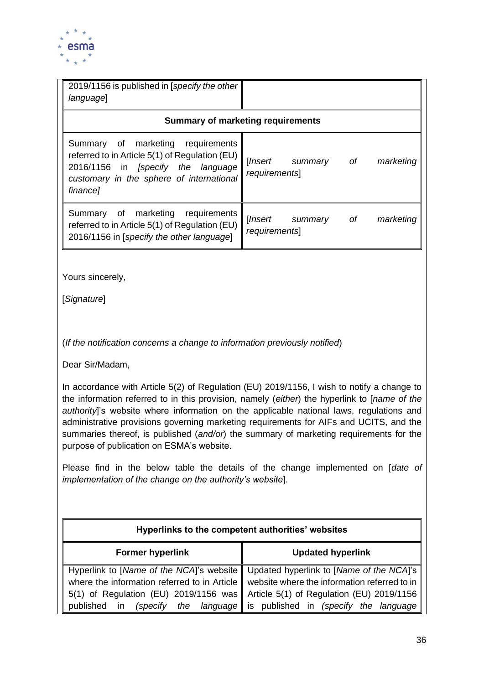

| 2019/1156 is published in [specify the other<br>language                                                                                                                          |                                                                 |  |
|-----------------------------------------------------------------------------------------------------------------------------------------------------------------------------------|-----------------------------------------------------------------|--|
| <b>Summary of marketing requirements</b>                                                                                                                                          |                                                                 |  |
| Summary of marketing requirements<br>referred to in Article 5(1) of Regulation (EU)<br>2016/1156 in [specify the language<br>customary in the sphere of international<br>finance] | [Insert<br>$\circ$ of<br>marketing<br>summary<br>requirements]  |  |
| Summary of marketing requirements<br>referred to in Article 5(1) of Regulation (EU)<br>2016/1156 in [specify the other language]                                                  | - of<br>[Insert<br>marketing<br>summary<br><i>requirements]</i> |  |

Yours sincerely,

[*Signature*]

(*If the notification concerns a change to information previously notified*)

Dear Sir/Madam,

In accordance with Article 5(2) of Regulation (EU) 2019/1156, I wish to notify a change to the information referred to in this provision, namely (*either*) the hyperlink to [*name of the authority*]'s website where information on the applicable national laws, regulations and administrative provisions governing marketing requirements for AIFs and UCITS, and the summaries thereof, is published (*and/or*) the summary of marketing requirements for the purpose of publication on ESMA's website.

Please find in the below table the details of the change implemented on [*date of implementation of the change on the authority's website*].

| Hyperlinks to the competent authorities' websites                                                                                 |                                                                                                                                       |  |
|-----------------------------------------------------------------------------------------------------------------------------------|---------------------------------------------------------------------------------------------------------------------------------------|--|
| <b>Former hyperlink</b>                                                                                                           | <b>Updated hyperlink</b>                                                                                                              |  |
| Hyperlink to [Name of the NCA]'s website<br>where the information referred to in Article<br>5(1) of Regulation (EU) 2019/1156 was | Updated hyperlink to [Name of the NCA]'s<br>website where the information referred to in<br>Article 5(1) of Regulation (EU) 2019/1156 |  |
| (specify the language<br>$\overline{\mathsf{in}}$<br>published                                                                    | is published in (specify the language                                                                                                 |  |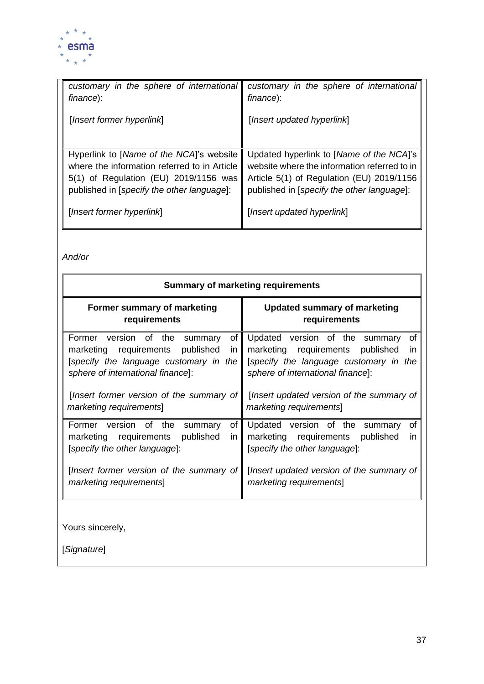

| customary in the sphere of international     | customary in the sphere of international     |
|----------------------------------------------|----------------------------------------------|
| finance):                                    | finance):                                    |
| [Insert former hyperlink]                    | [Insert updated hyperlink]                   |
| Hyperlink to [Name of the NCA]'s website     | Updated hyperlink to [Name of the NCA]'s     |
| where the information referred to in Article | website where the information referred to in |
| 5(1) of Regulation (EU) 2019/1156 was        | Article 5(1) of Regulation (EU) 2019/1156    |
| published in [specify the other language]:   | published in [specify the other language]:   |
| [Insert former hyperlink]                    | [Insert updated hyperlink]                   |

*And/or*

| <b>Summary of marketing requirements</b>                                                                                                                            |                                                                                                                                                                  |  |
|---------------------------------------------------------------------------------------------------------------------------------------------------------------------|------------------------------------------------------------------------------------------------------------------------------------------------------------------|--|
| Former summary of marketing<br>requirements                                                                                                                         | <b>Updated summary of marketing</b><br>requirements                                                                                                              |  |
| of<br>Former version of the summary<br>marketing requirements published<br><i>in</i><br>[specify the language customary in the<br>sphere of international finance]: | Updated version of the summary<br>0f<br>marketing requirements<br>published<br>in<br>[specify the language customary in the<br>sphere of international finance]: |  |
| [Insert former version of the summary of $\parallel$<br>marketing requirements                                                                                      | [Insert updated version of the summary of<br>marketing requirements                                                                                              |  |
| $of \sqrt{}$<br>Former version of the<br>summary<br>published<br>marketing requirements<br>in.<br>[specify the other language]:                                     | of<br>Updated version of the<br>summary<br>marketing requirements<br>published<br>in.<br>[specify the other language]:                                           |  |
| [Insert former version of the summary of $\parallel$<br>marketing requirements]                                                                                     | [Insert updated version of the summary of<br>marketing requirements]                                                                                             |  |
|                                                                                                                                                                     |                                                                                                                                                                  |  |
| Yours sincerely,                                                                                                                                                    |                                                                                                                                                                  |  |
| [Signature]                                                                                                                                                         |                                                                                                                                                                  |  |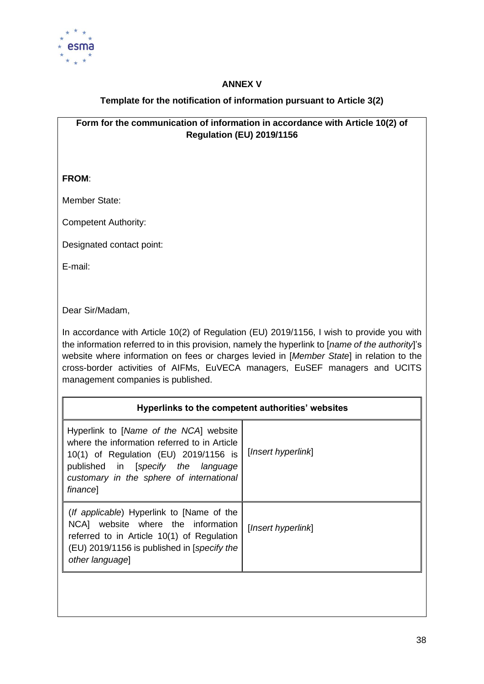

#### **ANNEX V**

#### **Template for the notification of information pursuant to Article 3(2)**

**Form for the communication of information in accordance with Article 10(2) of Regulation (EU) 2019/1156**

**FROM**:

Member State:

Competent Authority:

Designated contact point:

E-mail:

Dear Sir/Madam,

In accordance with Article 10(2) of Regulation (EU) 2019/1156, I wish to provide you with the information referred to in this provision, namely the hyperlink to [*name of the authority*]'s website where information on fees or charges levied in [*Member State*] in relation to the cross-border activities of AIFMs, EuVECA managers, EuSEF managers and UCITS management companies is published.

| Hyperlinks to the competent authorities' websites                                                                                                                                                                             |                    |  |
|-------------------------------------------------------------------------------------------------------------------------------------------------------------------------------------------------------------------------------|--------------------|--|
| Hyperlink to [Name of the NCA] website<br>where the information referred to in Article<br>10(1) of Regulation (EU) 2019/1156 is<br>published in [specify the language<br>customary in the sphere of international<br>financel | [Insert hyperlink] |  |
| (If applicable) Hyperlink to [Name of the<br>NCA] website where the information<br>referred to in Article 10(1) of Regulation<br>(EU) 2019/1156 is published in [specify the<br>other languagel                               | [Insert hyperlink] |  |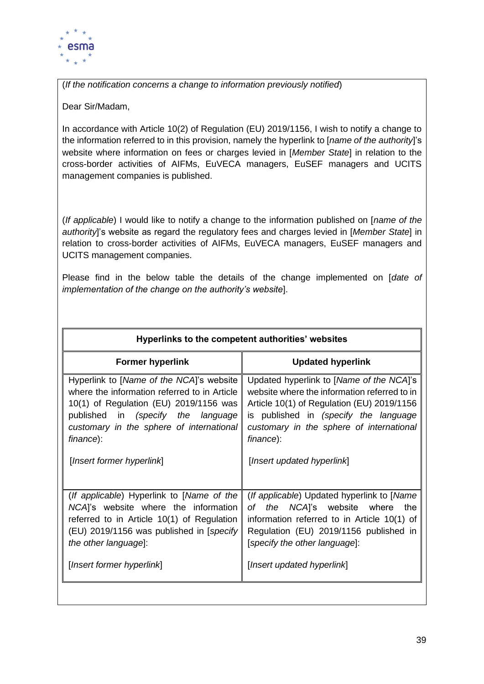

(*If the notification concerns a change to information previously notified*)

Dear Sir/Madam,

In accordance with Article 10(2) of Regulation (EU) 2019/1156, I wish to notify a change to the information referred to in this provision, namely the hyperlink to [*name of the authority*]'s website where information on fees or charges levied in [*Member State*] in relation to the cross-border activities of AIFMs, EuVECA managers, EuSEF managers and UCITS management companies is published.

(*If applicable*) I would like to notify a change to the information published on [*name of the authority*]'s website as regard the regulatory fees and charges levied in [*Member State*] in relation to cross-border activities of AIFMs, EuVECA managers, EuSEF managers and UCITS management companies.

Please find in the below table the details of the change implemented on [*date of implementation of the change on the authority's website*].

| Hyperlinks to the competent authorities' websites                                                                                                                                                                                 |                                                                                                                                                                                                                                          |  |
|-----------------------------------------------------------------------------------------------------------------------------------------------------------------------------------------------------------------------------------|------------------------------------------------------------------------------------------------------------------------------------------------------------------------------------------------------------------------------------------|--|
| <b>Former hyperlink</b>                                                                                                                                                                                                           | <b>Updated hyperlink</b>                                                                                                                                                                                                                 |  |
| Hyperlink to [Name of the NCA]'s website<br>where the information referred to in Article<br>10(1) of Regulation (EU) 2019/1156 was<br>published in (specify the language<br>customary in the sphere of international<br>finance): | Updated hyperlink to [Name of the NCA]'s<br>website where the information referred to in<br>Article 10(1) of Regulation (EU) 2019/1156<br>is published in (specify the language<br>customary in the sphere of international<br>finance): |  |
| [Insert former hyperlink]                                                                                                                                                                                                         | [Insert updated hyperlink]                                                                                                                                                                                                               |  |
| (If applicable) Hyperlink to [Name of the<br>NCA]'s website where the information<br>referred to in Article 10(1) of Regulation<br>(EU) 2019/1156 was published in [specify]<br>the other language]:                              | (If applicable) Updated hyperlink to [Name<br>of the NCA]'s website where<br>the<br>information referred to in Article 10(1) of<br>Regulation (EU) 2019/1156 published in<br>[specify the other language]:                               |  |
| [Insert former hyperlink]                                                                                                                                                                                                         | [Insert updated hyperlink]                                                                                                                                                                                                               |  |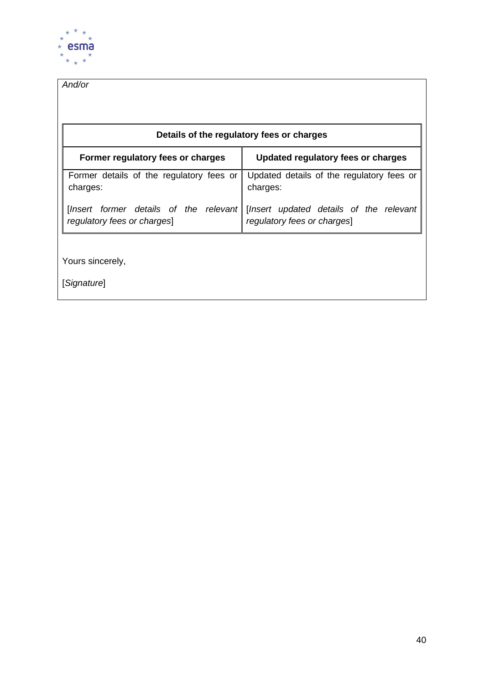

### *And/or*

| Details of the regulatory fees or charges            |                                                                                                                 |  |  |
|------------------------------------------------------|-----------------------------------------------------------------------------------------------------------------|--|--|
| Former regulatory fees or charges                    | Updated regulatory fees or charges                                                                              |  |  |
| Former details of the regulatory fees or<br>charges: | Updated details of the regulatory fees or<br>charges:                                                           |  |  |
| regulatory fees or charges]                          | [Insert former details of the relevant   [Insert updated details of the relevant<br>regulatory fees or charges] |  |  |
|                                                      |                                                                                                                 |  |  |
| Yours sincerely,                                     |                                                                                                                 |  |  |
| [Signature]                                          |                                                                                                                 |  |  |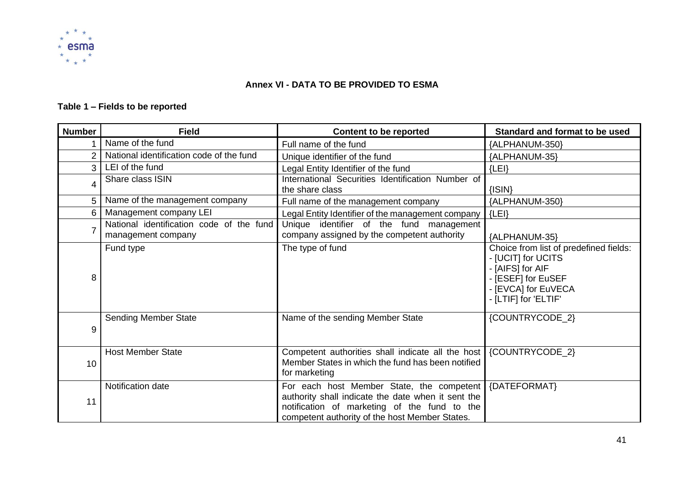

#### **Annex VI - DATA TO BE PROVIDED TO ESMA**

#### **Table 1 – Fields to be reported**

| <b>Number</b>  | <b>Field</b>                                                   | <b>Content to be reported</b>                                                                                                                                                                                    | Standard and format to be used                                                                                                                        |
|----------------|----------------------------------------------------------------|------------------------------------------------------------------------------------------------------------------------------------------------------------------------------------------------------------------|-------------------------------------------------------------------------------------------------------------------------------------------------------|
|                | Name of the fund                                               | Full name of the fund                                                                                                                                                                                            | {ALPHANUM-350}                                                                                                                                        |
| $\overline{2}$ | National identification code of the fund                       | Unique identifier of the fund                                                                                                                                                                                    | {ALPHANUM-35}                                                                                                                                         |
| 3              | LEI of the fund                                                | Legal Entity Identifier of the fund                                                                                                                                                                              | ${LEI}$                                                                                                                                               |
| 4              | Share class ISIN                                               | International Securities Identification Number of<br>the share class                                                                                                                                             | $\{ISIN\}$                                                                                                                                            |
| 5              | Name of the management company                                 | Full name of the management company                                                                                                                                                                              | {ALPHANUM-350}                                                                                                                                        |
| 6              | Management company LEI                                         | Legal Entity Identifier of the management company                                                                                                                                                                | ${LEI}$                                                                                                                                               |
|                | National identification code of the fund<br>management company | Unique identifier of the fund management<br>company assigned by the competent authority                                                                                                                          | {ALPHANUM-35}                                                                                                                                         |
| 8              | Fund type                                                      | The type of fund                                                                                                                                                                                                 | Choice from list of predefined fields:<br>- [UCIT] for UCITS<br>- [AIFS] for AIF<br>- [ESEF] for EuSEF<br>- [EVCA] for EuVECA<br>- [LTIF] for 'ELTIF' |
| 9              | <b>Sending Member State</b>                                    | Name of the sending Member State                                                                                                                                                                                 | {COUNTRYCODE_2}                                                                                                                                       |
| 10             | <b>Host Member State</b>                                       | Competent authorities shall indicate all the host<br>Member States in which the fund has been notified<br>for marketing                                                                                          | {COUNTRYCODE_2}                                                                                                                                       |
| 11             | Notification date                                              | For each host Member State, the competent   {DATEFORMAT}<br>authority shall indicate the date when it sent the<br>notification of marketing of the fund to the<br>competent authority of the host Member States. |                                                                                                                                                       |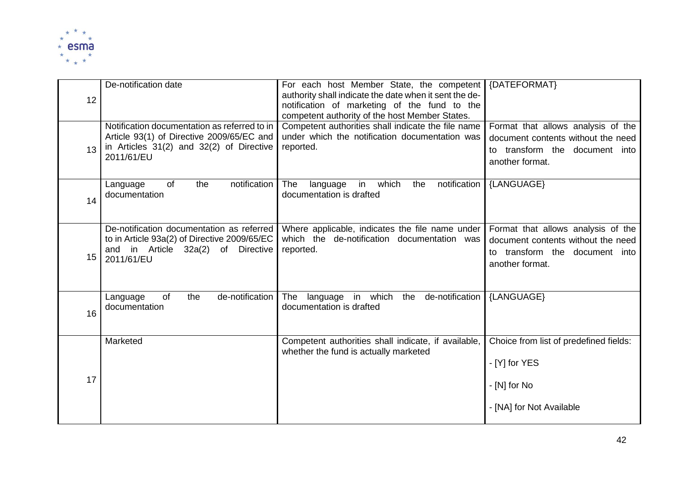

| 12 | De-notification date                                                                                                                                    | For each host Member State, the competent   {DATEFORMAT}<br>authority shall indicate the date when it sent the de-<br>notification of marketing of the fund to the<br>competent authority of the host Member States. |                                                                                                                               |
|----|---------------------------------------------------------------------------------------------------------------------------------------------------------|----------------------------------------------------------------------------------------------------------------------------------------------------------------------------------------------------------------------|-------------------------------------------------------------------------------------------------------------------------------|
| 13 | Notification documentation as referred to in<br>Article 93(1) of Directive 2009/65/EC and<br>in Articles $31(2)$ and $32(2)$ of Directive<br>2011/61/EU | Competent authorities shall indicate the file name<br>under which the notification documentation was<br>reported.                                                                                                    | Format that allows analysis of the<br>document contents without the need<br>to transform the document into<br>another format. |
| 14 | of<br>notification<br>the<br>Language<br>documentation                                                                                                  | The<br>which<br>notification<br>in<br>the<br>language<br>documentation is drafted                                                                                                                                    | {LANGUAGE}                                                                                                                    |
| 15 | De-notification documentation as referred<br>to in Article 93a(2) of Directive 2009/65/EC<br>and in Article 32a(2) of Directive<br>2011/61/EU           | Where applicable, indicates the file name under<br>which the de-notification documentation was<br>reported.                                                                                                          | Format that allows analysis of the<br>document contents without the need<br>to transform the document into<br>another format. |
| 16 | de-notification<br>of<br>the<br>Language<br>documentation                                                                                               | language in which the de-notification<br>The<br>documentation is drafted                                                                                                                                             | {LANGUAGE}                                                                                                                    |
|    | Marketed                                                                                                                                                | Competent authorities shall indicate, if available,<br>whether the fund is actually marketed                                                                                                                         | Choice from list of predefined fields:<br>- [Y] for YES                                                                       |
| 17 |                                                                                                                                                         |                                                                                                                                                                                                                      | - [N] for No<br>- [NA] for Not Available                                                                                      |